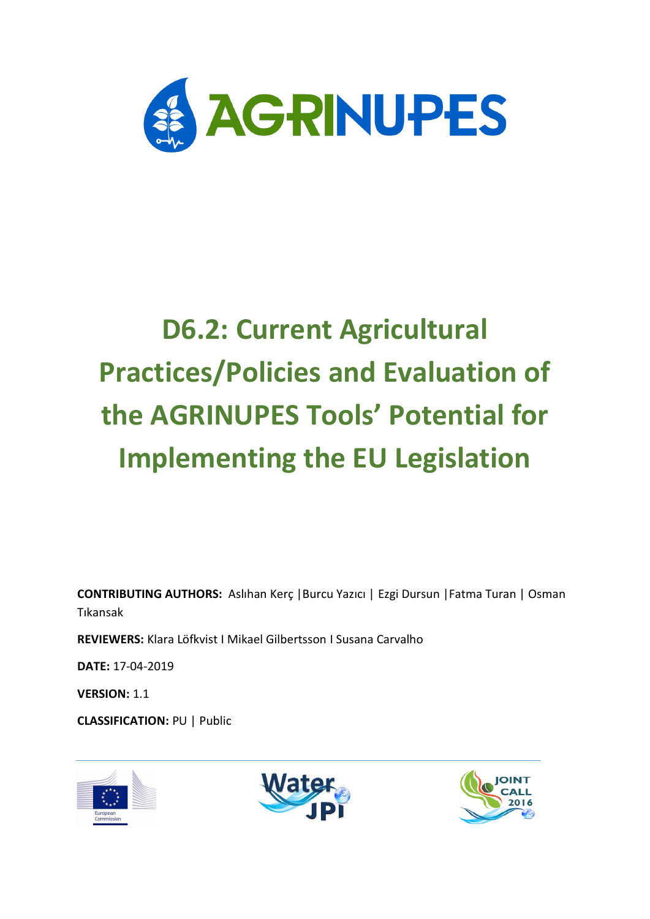

# **D6.2: Current Agricultural Practices/Policies and Evaluation of the AGRINUPES Tools' Potential for Implementing the EU Legislation**

**CONTRIBUTING AUTHORS:** Aslıhan Kerç |Burcu Yazıcı | Ezgi Dursun |Fatma Turan | Osman Tıkansak

**REVIEWERS:** Klara Löfkvist I Mikael Gilbertsson I Susana Carvalho

**DATE:** 17-04-2019

**VERSION:** 1.1

**CLASSIFICATION:** PU | Public





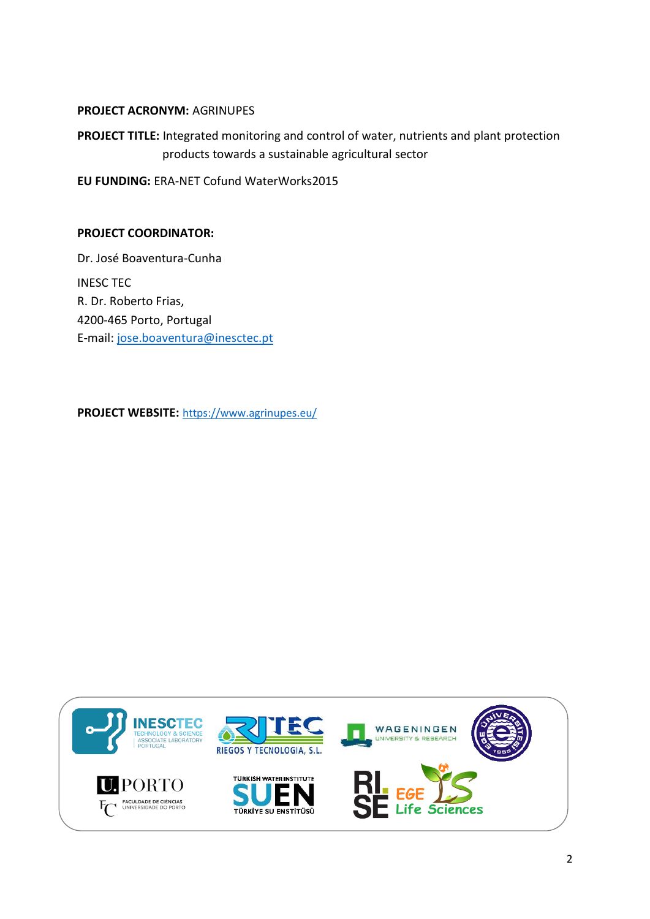#### **PROJECT ACRONYM:** AGRINUPES

**PROJECT TITLE:** Integrated monitoring and control of water, nutrients and plant protection products towards a sustainable agricultural sector

**EU FUNDING:** ERA-NET Cofund WaterWorks2015

#### **PROJECT COORDINATOR:**

Dr. José Boaventura-Cunha INESC TEC R. Dr. Roberto Frias, 4200-465 Porto, Portugal E-mail: [jose.boaventura@inesctec.pt](mailto:jose.boaventura@inesctec.pt)

**PROJECT WEBSITE:** <https://www.agrinupes.eu/>

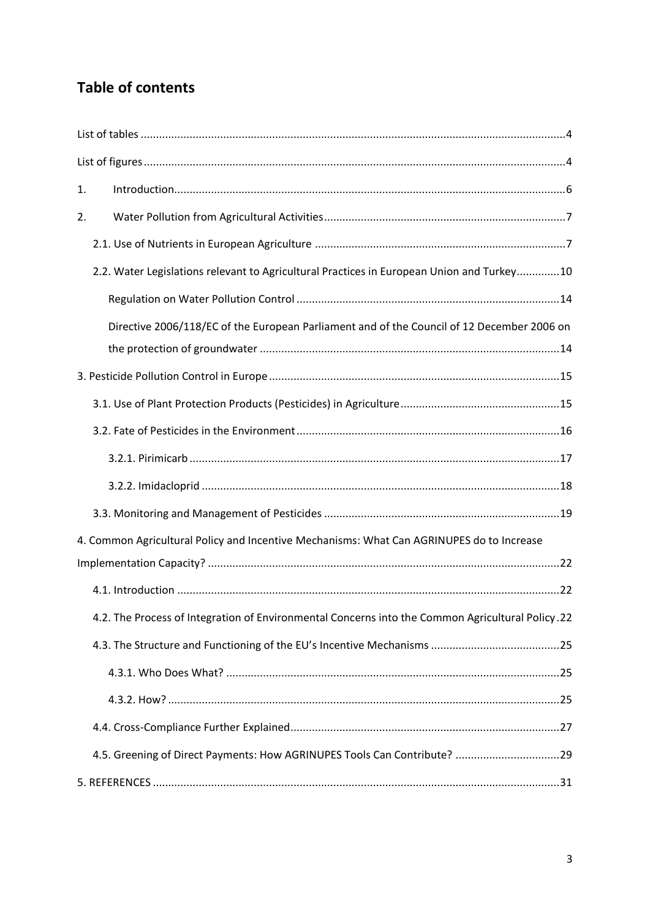# **Table of contents**

| 1. |                                                                                                  |
|----|--------------------------------------------------------------------------------------------------|
| 2. |                                                                                                  |
|    |                                                                                                  |
|    | 2.2. Water Legislations relevant to Agricultural Practices in European Union and Turkey10        |
|    |                                                                                                  |
|    | Directive 2006/118/EC of the European Parliament and of the Council of 12 December 2006 on       |
|    |                                                                                                  |
|    |                                                                                                  |
|    |                                                                                                  |
|    |                                                                                                  |
|    |                                                                                                  |
|    |                                                                                                  |
|    |                                                                                                  |
|    | 4. Common Agricultural Policy and Incentive Mechanisms: What Can AGRINUPES do to Increase        |
|    |                                                                                                  |
|    |                                                                                                  |
|    | 4.2. The Process of Integration of Environmental Concerns into the Common Agricultural Policy.22 |
|    |                                                                                                  |
|    |                                                                                                  |
|    |                                                                                                  |
|    |                                                                                                  |
|    | 4.5. Greening of Direct Payments: How AGRINUPES Tools Can Contribute? 29                         |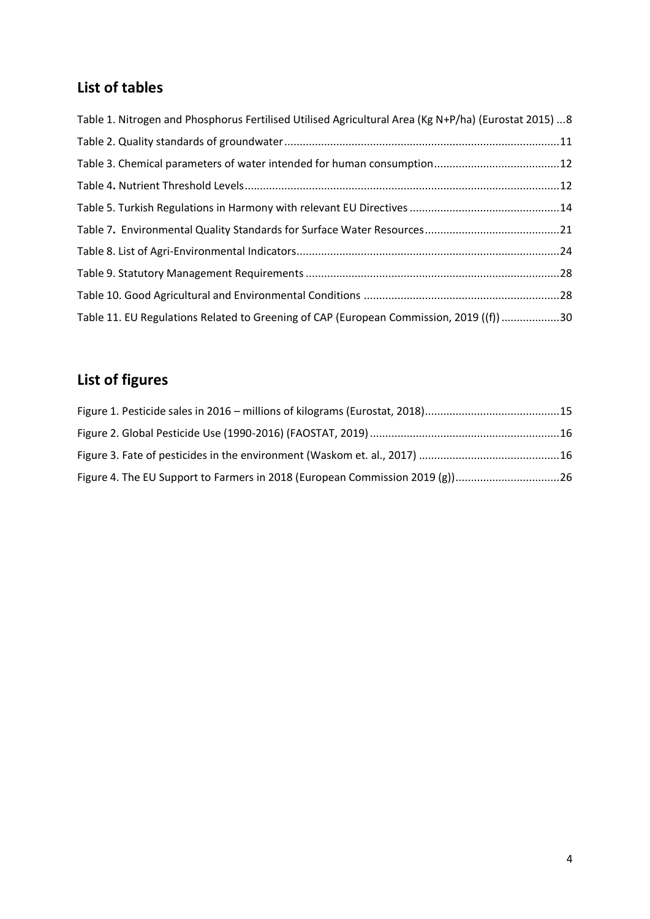# <span id="page-3-0"></span>**List of tables**

| Table 1. Nitrogen and Phosphorus Fertilised Utilised Agricultural Area (Kg N+P/ha) (Eurostat 2015)  8 |  |
|-------------------------------------------------------------------------------------------------------|--|
|                                                                                                       |  |
|                                                                                                       |  |
|                                                                                                       |  |
|                                                                                                       |  |
|                                                                                                       |  |
|                                                                                                       |  |
|                                                                                                       |  |
|                                                                                                       |  |
| Table 11. EU Regulations Related to Greening of CAP (European Commission, 2019 ((f)) 30               |  |

# <span id="page-3-1"></span>**List of figures**

| Figure 4. The EU Support to Farmers in 2018 (European Commission 2019 (g))26 |  |
|------------------------------------------------------------------------------|--|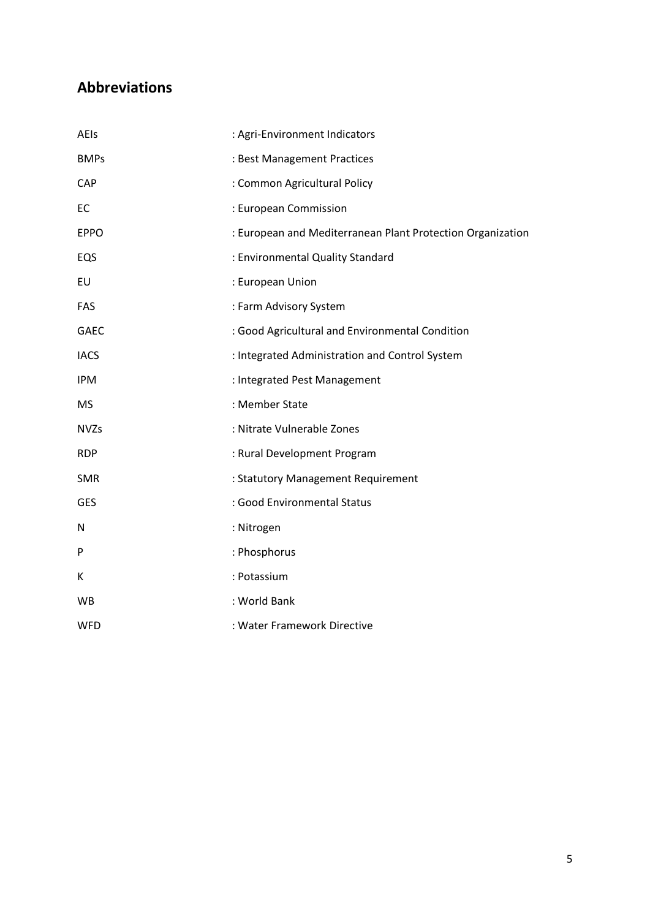# **Abbreviations**

| AEIs        | : Agri-Environment Indicators                              |
|-------------|------------------------------------------------------------|
| <b>BMPs</b> | : Best Management Practices                                |
| CAP         | : Common Agricultural Policy                               |
| EC          | : European Commission                                      |
| <b>EPPO</b> | : European and Mediterranean Plant Protection Organization |
| EQS         | : Environmental Quality Standard                           |
| EU          | : European Union                                           |
| FAS         | : Farm Advisory System                                     |
| <b>GAEC</b> | : Good Agricultural and Environmental Condition            |
| <b>IACS</b> | : Integrated Administration and Control System             |
| <b>IPM</b>  | : Integrated Pest Management                               |
| <b>MS</b>   | : Member State                                             |
| <b>NVZs</b> | : Nitrate Vulnerable Zones                                 |
| <b>RDP</b>  | : Rural Development Program                                |
| <b>SMR</b>  | : Statutory Management Requirement                         |
| <b>GES</b>  | : Good Environmental Status                                |
| N           | : Nitrogen                                                 |
| P           | : Phosphorus                                               |
| К           | : Potassium                                                |
| WB          | : World Bank                                               |
| <b>WFD</b>  | : Water Framework Directive                                |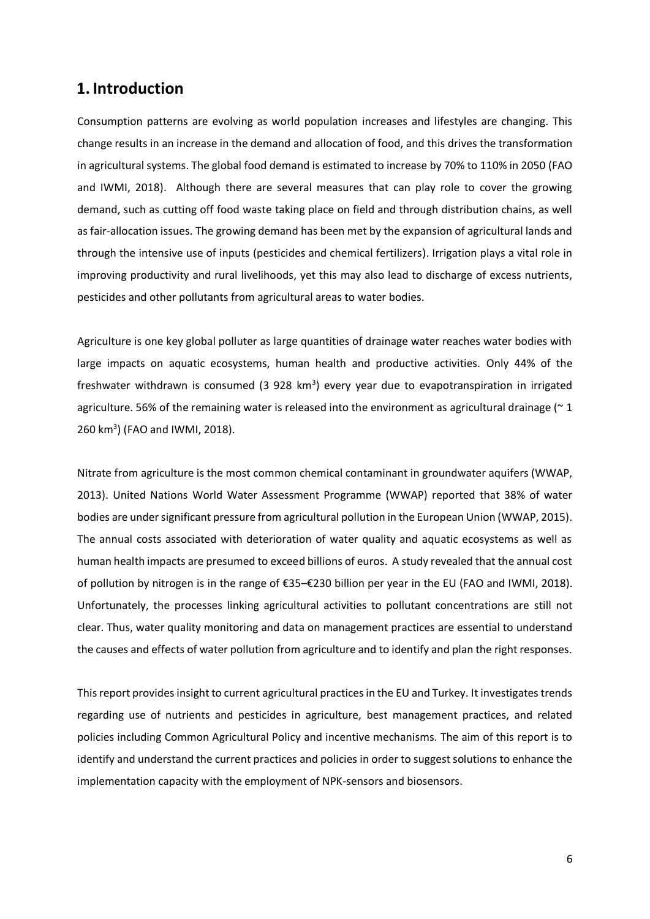### <span id="page-5-0"></span>**1. Introduction**

Consumption patterns are evolving as world population increases and lifestyles are changing. This change results in an increase in the demand and allocation of food, and this drives the transformation in agricultural systems. The global food demand is estimated to increase by 70% to 110% in 2050 (FAO and IWMI, 2018). Although there are several measures that can play role to cover the growing demand, such as cutting off food waste taking place on field and through distribution chains, as well as fair-allocation issues. The growing demand has been met by the expansion of agricultural lands and through the intensive use of inputs (pesticides and chemical fertilizers). Irrigation plays a vital role in improving productivity and rural livelihoods, yet this may also lead to discharge of excess nutrients, pesticides and other pollutants from agricultural areas to water bodies.

Agriculture is one key global polluter as large quantities of drainage water reaches water bodies with large impacts on aquatic ecosystems, human health and productive activities. Only 44% of the freshwater withdrawn is consumed (3 928 km<sup>3</sup>) every year due to evapotranspiration in irrigated agriculture. 56% of the remaining water is released into the environment as agricultural drainage ( $\approx$  1 260 km<sup>3</sup> ) (FAO and IWMI, 2018).

Nitrate from agriculture is the most common chemical contaminant in groundwater aquifers (WWAP, 2013). United Nations World Water Assessment Programme (WWAP) reported that 38% of water bodies are under significant pressure from agricultural pollution in the European Union (WWAP, 2015). The annual costs associated with deterioration of water quality and aquatic ecosystems as well as human health impacts are presumed to exceed billions of euros. A study revealed that the annual cost of pollution by nitrogen is in the range of €35–€230 billion per year in the EU (FAO and IWMI, 2018). Unfortunately, the processes linking agricultural activities to pollutant concentrations are still not clear. Thus, water quality monitoring and data on management practices are essential to understand the causes and effects of water pollution from agriculture and to identify and plan the right responses.

This report provides insight to current agricultural practices in the EU and Turkey. It investigates trends regarding use of nutrients and pesticides in agriculture, best management practices, and related policies including Common Agricultural Policy and incentive mechanisms. The aim of this report is to identify and understand the current practices and policies in order to suggest solutions to enhance the implementation capacity with the employment of NPK-sensors and biosensors.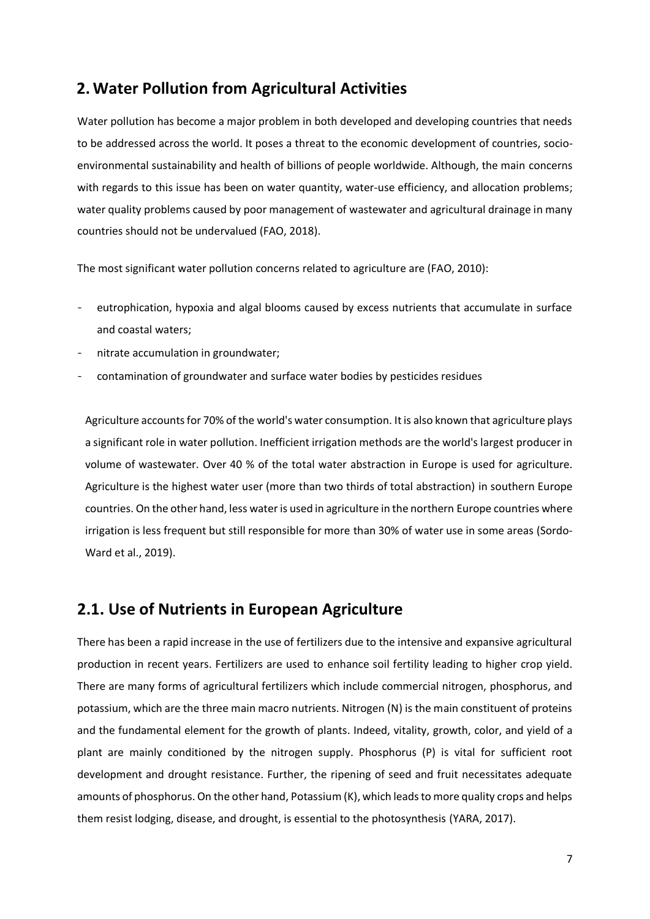# <span id="page-6-0"></span>**2.Water Pollution from Agricultural Activities**

Water pollution has become a major problem in both developed and developing countries that needs to be addressed across the world. It poses a threat to the economic development of countries, socioenvironmental sustainability and health of billions of people worldwide. Although, the main concerns with regards to this issue has been on water quantity, water-use efficiency, and allocation problems; water quality problems caused by poor management of wastewater and agricultural drainage in many countries should not be undervalued (FAO, 2018).

The most significant water pollution concerns related to agriculture are (FAO, 2010):

- eutrophication, hypoxia and algal blooms caused by excess nutrients that accumulate in surface and coastal waters;
- nitrate accumulation in groundwater;
- contamination of groundwater and surface water bodies by pesticides residues

Agriculture accounts for 70% of the world's water consumption. It is also known that agriculture plays a significant role in water pollution. Inefficient irrigation methods are the world's largest producer in volume of wastewater. Over 40 % of the total water abstraction in Europe is used for agriculture. Agriculture is the highest water user (more than two thirds of total abstraction) in southern Europe countries. On the other hand, less water is used in agriculture in the northern Europe countries where irrigation is less frequent but still responsible for more than 30% of water use in some areas (Sordo-Ward et al., 2019).

### <span id="page-6-1"></span>**2.1. Use of Nutrients in European Agriculture**

There has been a rapid increase in the use of fertilizers due to the intensive and expansive agricultural production in recent years. Fertilizers are used to enhance soil fertility leading to higher crop yield. There are many forms of agricultural fertilizers which include commercial nitrogen, phosphorus, and potassium, which are the three main macro nutrients. Nitrogen (N) is the main constituent of proteins and the fundamental element for the growth of plants. Indeed, vitality, growth, color, and yield of a plant are mainly conditioned by the nitrogen supply. Phosphorus (P) is vital for sufficient root development and drought resistance. Further, the ripening of seed and fruit necessitates adequate amounts of phosphorus. On the other hand, Potassium (K), which leads to more quality crops and helps them resist lodging, disease, and drought, is essential to the photosynthesis (YARA, 2017).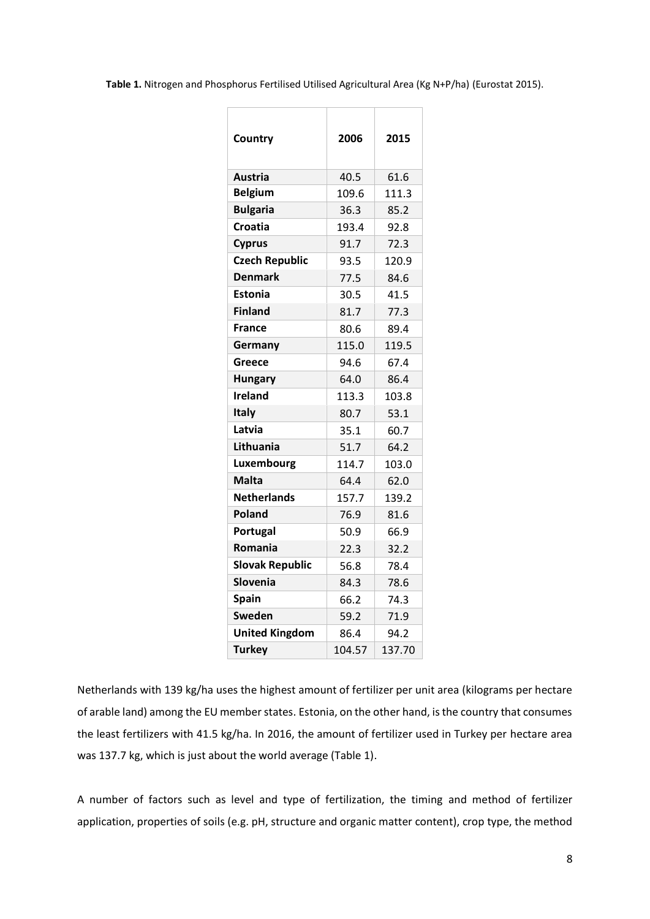<span id="page-7-0"></span>**Table 1.** Nitrogen and Phosphorus Fertilised Utilised Agricultural Area (Kg N+P/ha) (Eurostat 2015).

| 2006   | 2015   |
|--------|--------|
| 40.5   | 61.6   |
| 109.6  | 111.3  |
| 36.3   | 85.2   |
| 193.4  | 92.8   |
| 91.7   | 72.3   |
| 93.5   | 120.9  |
| 77.5   | 84.6   |
| 30.5   | 41.5   |
| 81.7   | 77.3   |
| 80.6   | 89.4   |
| 115.0  | 119.5  |
| 94.6   | 67.4   |
| 64.0   | 86.4   |
| 113.3  | 103.8  |
| 80.7   | 53.1   |
| 35.1   | 60.7   |
| 51.7   | 64.2   |
| 114.7  | 103.0  |
| 64.4   | 62.0   |
| 157.7  | 139.2  |
| 76.9   | 81.6   |
| 50.9   | 66.9   |
| 22.3   | 32.2   |
| 56.8   | 78.4   |
| 84.3   | 78.6   |
| 66.2   | 74.3   |
| 59.2   | 71.9   |
| 86.4   | 94.2   |
| 104.57 | 137.70 |
|        |        |

Netherlands with 139 kg/ha uses the highest amount of fertilizer per unit area (kilograms per hectare of arable land) among the EU member states. Estonia, on the other hand, is the country that consumes the least fertilizers with 41.5 kg/ha. In 2016, the amount of fertilizer used in Turkey per hectare area was 137.7 kg, which is just about the world average (Table 1).

A number of factors such as level and type of fertilization, the timing and method of fertilizer application, properties of soils (e.g. pH, structure and organic matter content), crop type, the method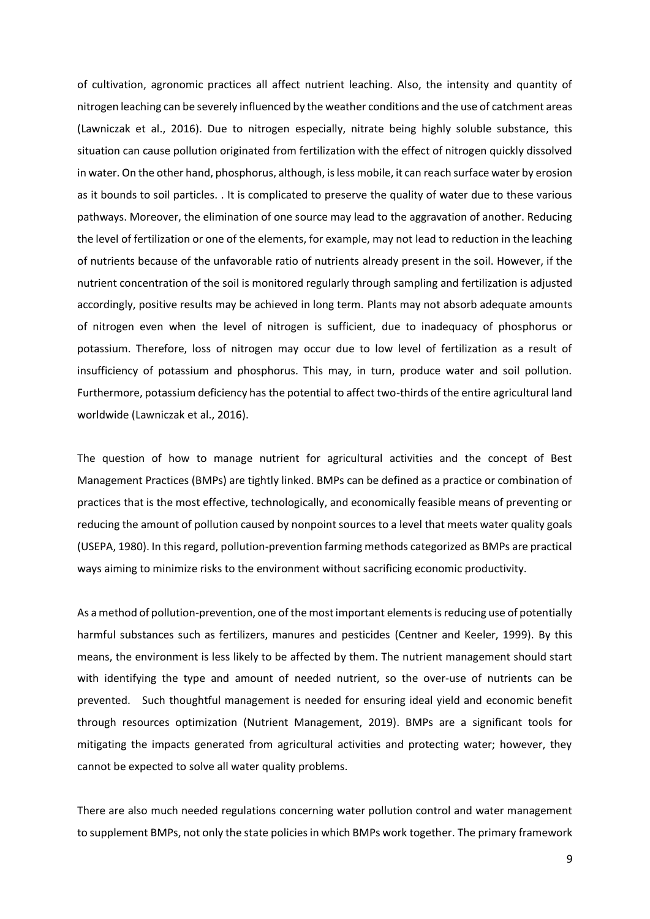of cultivation, agronomic practices all affect nutrient leaching. Also, the intensity and quantity of nitrogen leaching can be severely influenced by the weather conditions and the use of catchment areas (Lawniczak et al., 2016). Due to nitrogen especially, nitrate being highly soluble substance, this situation can cause pollution originated from fertilization with the effect of nitrogen quickly dissolved in water. On the other hand, phosphorus, although, is less mobile, it can reach surface water by erosion as it bounds to soil particles. . It is complicated to preserve the quality of water due to these various pathways. Moreover, the elimination of one source may lead to the aggravation of another. Reducing the level of fertilization or one of the elements, for example, may not lead to reduction in the leaching of nutrients because of the unfavorable ratio of nutrients already present in the soil. However, if the nutrient concentration of the soil is monitored regularly through sampling and fertilization is adjusted accordingly, positive results may be achieved in long term. Plants may not absorb adequate amounts of nitrogen even when the level of nitrogen is sufficient, due to inadequacy of phosphorus or potassium. Therefore, loss of nitrogen may occur due to low level of fertilization as a result of insufficiency of potassium and phosphorus. This may, in turn, produce water and soil pollution. Furthermore, potassium deficiency has the potential to affect two-thirds of the entire agricultural land worldwide (Lawniczak et al., 2016).

The question of how to manage nutrient for agricultural activities and the concept of Best Management Practices (BMPs) are tightly linked. BMPs can be defined as a practice or combination of practices that is the most effective, technologically, and economically feasible means of preventing or reducing the amount of pollution caused by nonpoint sources to a level that meets water quality goals (USEPA, 1980). In this regard, pollution-prevention farming methods categorized as BMPs are practical ways aiming to minimize risks to the environment without sacrificing economic productivity.

As a method of pollution-prevention, one of the most important elements is reducing use of potentially harmful substances such as fertilizers, manures and pesticides (Centner and Keeler, 1999). By this means, the environment is less likely to be affected by them. The nutrient management should start with identifying the type and amount of needed nutrient, so the over-use of nutrients can be prevented. Such thoughtful management is needed for ensuring ideal yield and economic benefit through resources optimization (Nutrient Management, 2019). BMPs are a significant tools for mitigating the impacts generated from agricultural activities and protecting water; however, they cannot be expected to solve all water quality problems.

There are also much needed regulations concerning water pollution control and water management to supplement BMPs, not only the state policies in which BMPs work together. The primary framework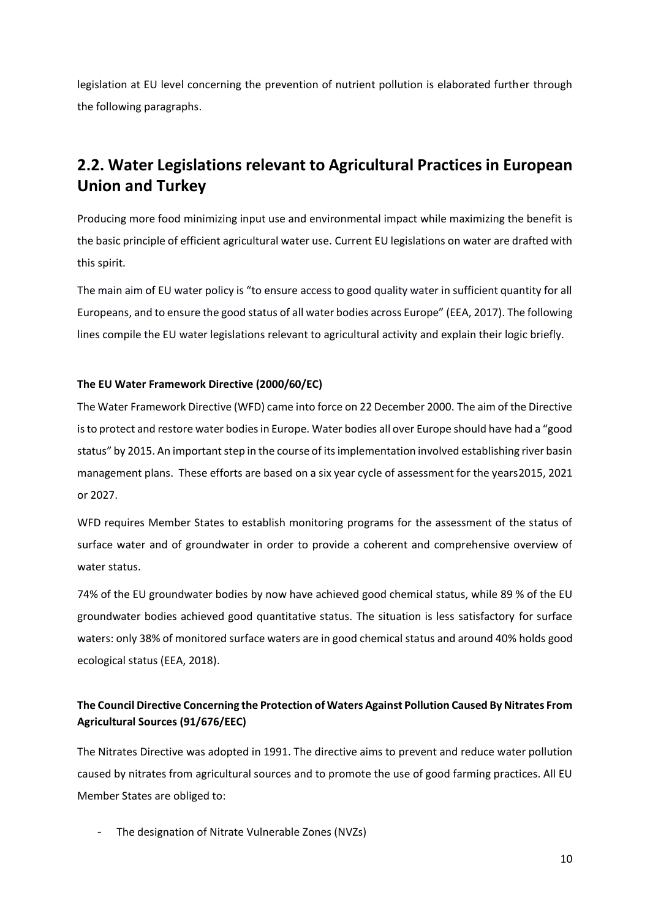legislation at EU level concerning the prevention of nutrient pollution is elaborated further through the following paragraphs.

# <span id="page-9-0"></span>**2.2. Water Legislations relevant to Agricultural Practices in European Union and Turkey**

Producing more food minimizing input use and environmental impact while maximizing the benefit is the basic principle of efficient agricultural water use. Current EU legislations on water are drafted with this spirit.

The main aim of EU water policy is "to ensure access to good quality water in sufficient quantity for all Europeans, and to ensure the good status of all water bodies across Europe" (EEA, 2017). The following lines compile the EU water legislations relevant to agricultural activity and explain their logic briefly.

#### **The EU Water Framework Directive (2000/60/EC)**

The Water Framework Directive (WFD) came into force on 22 December 2000. The aim of the Directive is to protect and restore water bodies in Europe. Water bodies all over Europe should have had a "good status" by 2015. An important step in the course of its implementation involved establishing river basin management plans. These efforts are based on a six year cycle of assessment for the years2015, 2021 or 2027.

WFD requires Member States to establish monitoring programs for the assessment of the status of surface water and of groundwater in order to provide a coherent and comprehensive overview of water status.

74% of the EU groundwater bodies by now have achieved good chemical status, while 89 % of the EU groundwater bodies achieved good quantitative status. The situation is less satisfactory for surface waters: only 38% of monitored surface waters are in good chemical status and around 40% holds good ecological status (EEA, 2018).

### **The Council Directive Concerning the Protection of Waters Against Pollution Caused By Nitrates From Agricultural Sources (91/676/EEC)**

The Nitrates Directive was adopted in 1991. The directive aims to prevent and reduce water pollution caused by nitrates from agricultural sources and to promote the use of good farming practices. All EU Member States are obliged to:

The designation of Nitrate Vulnerable Zones (NVZs)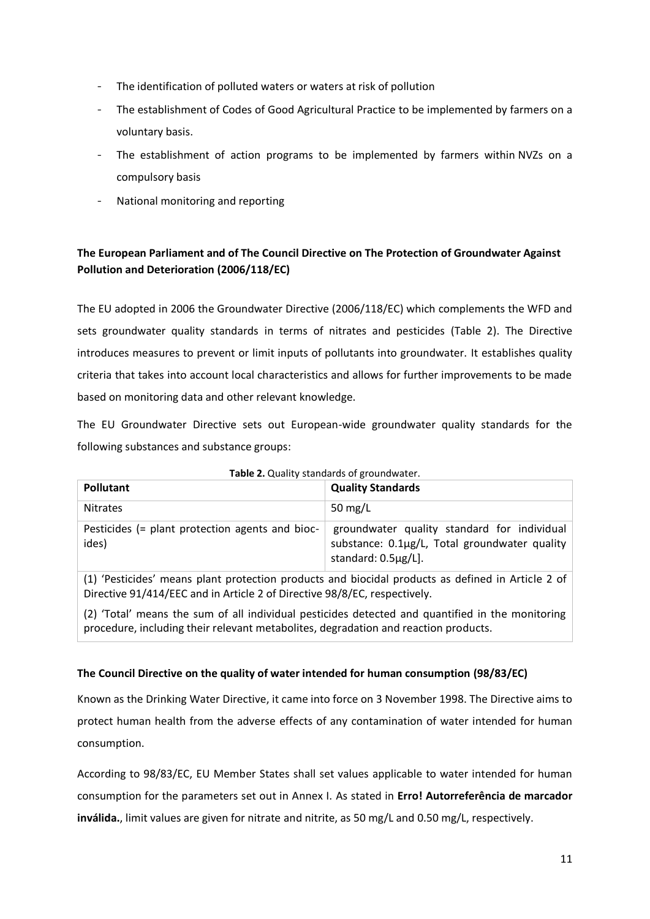- The identification of polluted waters or waters at risk of pollution
- The establishment of Codes of Good Agricultural Practice to be implemented by farmers on a voluntary basis.
- The establishment of action programs to be implemented by farmers within NVZs on a compulsory basis
- National monitoring and reporting

#### **The European Parliament and of The Council Directive on The Protection of Groundwater Against Pollution and Deterioration (2006/118/EC)**

The EU adopted in 2006 the [Groundwater Directive \(2006/118/EC\)](http://eur-lex.europa.eu/LexUriServ/LexUriServ.do?uri=CELEX:32006L0118:EN:NOT) which complements the WFD and sets groundwater quality standards in terms of nitrates and pesticides (Table 2). The Directive introduces measures to prevent or limit inputs of pollutants into groundwater. It establishes quality criteria that takes into account local characteristics and allows for further improvements to be made based on monitoring data and other relevant knowledge.

The EU Groundwater Directive sets out European-wide groundwater quality standards for the following substances and substance groups:

<span id="page-10-0"></span>

| Pollutant                                                | <b>Quality Standards</b>                                                                                            |
|----------------------------------------------------------|---------------------------------------------------------------------------------------------------------------------|
| <b>Nitrates</b>                                          | 50 mg/L                                                                                                             |
| Pesticides (= plant protection agents and bioc-<br>ides) | groundwater quality standard for individual<br>substance: 0.1µg/L, Total groundwater quality<br>standard: 0.5µg/L]. |

|  |  | Table 2. Quality standards of groundwater. |
|--|--|--------------------------------------------|
|--|--|--------------------------------------------|

(1) 'Pesticides' means plant protection products and biocidal products as defined in Article 2 of Directive 91/414/EEC and in Article 2 of Directive 98/8/EC, respectively.

(2) 'Total' means the sum of all individual pesticides detected and quantified in the monitoring procedure, including their relevant metabolites, degradation and reaction products.

#### **The Council Directive on the quality of water intended for human consumption (98/83/EC)**

Known as the Drinking Water Directive, it came into force on 3 November 1998. The Directive aims to protect human health from the adverse effects of any contamination of water intended for human consumption.

According to 98/83/EC, EU Member States shall set values applicable to water intended for human consumption for the parameters set out in Annex I. As stated in **Erro! Autorreferência de marcador inválida.**, limit values are given for nitrate and nitrite, as 50 mg/L and 0.50 mg/L, respectively.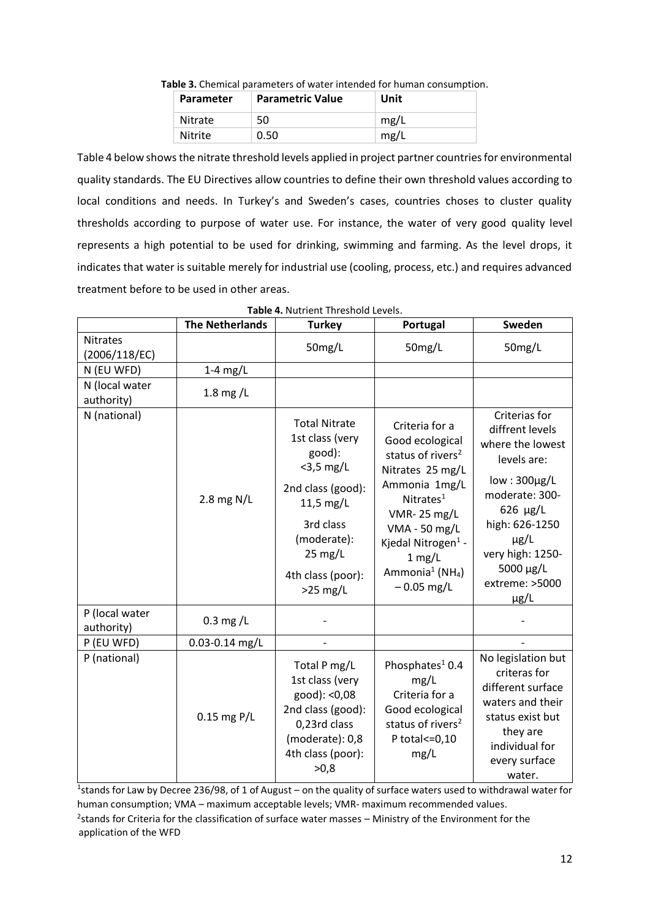| Parameter | <b>Parametric Value</b> | Unit |
|-----------|-------------------------|------|
| Nitrate   | 50                      | mg/L |
| Nitrite   | 0.50                    | mg/L |

**Table 3.** Chemical parameters of water intended for human consumption.

<span id="page-11-0"></span>Table 4 below shows the nitrate threshold levels applied in project partner countries for environmental quality standards. The EU Directives allow countries to define their own threshold values according to local conditions and needs. In Turkey's and Sweden's cases, countries choses to cluster quality thresholds according to purpose of water use. For instance, the water of very good quality level represents a high potential to be used for drinking, swimming and farming. As the level drops, it indicates that water is suitable merely for industrial use (cooling, process, etc.) and requires advanced treatment before to be used in other areas.

<span id="page-11-1"></span>

|                                  | <b>The Netherlands</b> | <b>Turkey</b>                                                                                                                                                                           | Portugal                                                                                                                                                                                                                                                                         | Sweden                                                                                                                                                                                                                         |
|----------------------------------|------------------------|-----------------------------------------------------------------------------------------------------------------------------------------------------------------------------------------|----------------------------------------------------------------------------------------------------------------------------------------------------------------------------------------------------------------------------------------------------------------------------------|--------------------------------------------------------------------------------------------------------------------------------------------------------------------------------------------------------------------------------|
| <b>Nitrates</b><br>(2006/118/EC) |                        | 50mg/L                                                                                                                                                                                  | 50mg/L                                                                                                                                                                                                                                                                           | 50mg/L                                                                                                                                                                                                                         |
| N (EU WFD)                       | $1-4$ mg/L             |                                                                                                                                                                                         |                                                                                                                                                                                                                                                                                  |                                                                                                                                                                                                                                |
| N (local water<br>authority)     | 1.8 mg/ $\mathsf{L}$   |                                                                                                                                                                                         |                                                                                                                                                                                                                                                                                  |                                                                                                                                                                                                                                |
| N (national)                     | 2.8 mg N/L             | <b>Total Nitrate</b><br>1st class (very<br>good):<br>$<$ 3,5 mg/L<br>2nd class (good):<br>11,5 mg/L<br>3rd class<br>(moderate):<br>$25 \text{ mg/L}$<br>4th class (poor):<br>$>25$ mg/L | Criteria for a<br>Good ecological<br>status of rivers <sup>2</sup><br>Nitrates 25 mg/L<br>Ammonia 1mg/L<br>Nitrates <sup>1</sup><br><b>VMR-25 mg/L</b><br>VMA - 50 mg/L<br>Kjedal Nitrogen <sup>1</sup> -<br>$1$ mg/L<br>Ammonia <sup>1</sup> (NH <sub>4</sub> )<br>$-0.05$ mg/L | Criterias for<br>diffrent levels<br>where the lowest<br>levels are:<br>$low:300\mu g/L$<br>moderate: 300-<br>$626 \text{ µg/L}$<br>high: 626-1250<br>$\mu$ g/L<br>very high: 1250-<br>5000 µg/L<br>extreme: >5000<br>$\mu$ g/L |
| P (local water<br>authority)     | $0.3$ mg/L             |                                                                                                                                                                                         |                                                                                                                                                                                                                                                                                  |                                                                                                                                                                                                                                |
| P (EU WFD)                       | $0.03 - 0.14$ mg/L     |                                                                                                                                                                                         |                                                                                                                                                                                                                                                                                  |                                                                                                                                                                                                                                |
| P (national)                     | $0.15$ mg P/L          | Total P mg/L<br>1st class (very<br>good): <0,08<br>2nd class (good):<br>0,23rd class<br>(moderate): 0,8<br>4th class (poor):<br>>0,8                                                    | Phosphates <sup>1</sup> 0.4<br>mg/L<br>Criteria for a<br>Good ecological<br>status of rivers <sup>2</sup><br>P total <= 0,10<br>mg/L                                                                                                                                             | No legislation but<br>criteras for<br>different surface<br>waters and their<br>status exist but<br>they are<br>individual for<br>every surface<br>water.                                                                       |

**Table 4.** Nutrient Threshold Levels.

<sup>1</sup>stands for Law by Decree 236/98, of 1 of August – on the quality of surface waters used to withdrawal water for human consumption; VMA – maximum acceptable levels; VMR- maximum recommended values. <sup>2</sup>stands for Criteria for the classification of surface water masses - Ministry of the Environment for the application of the WFD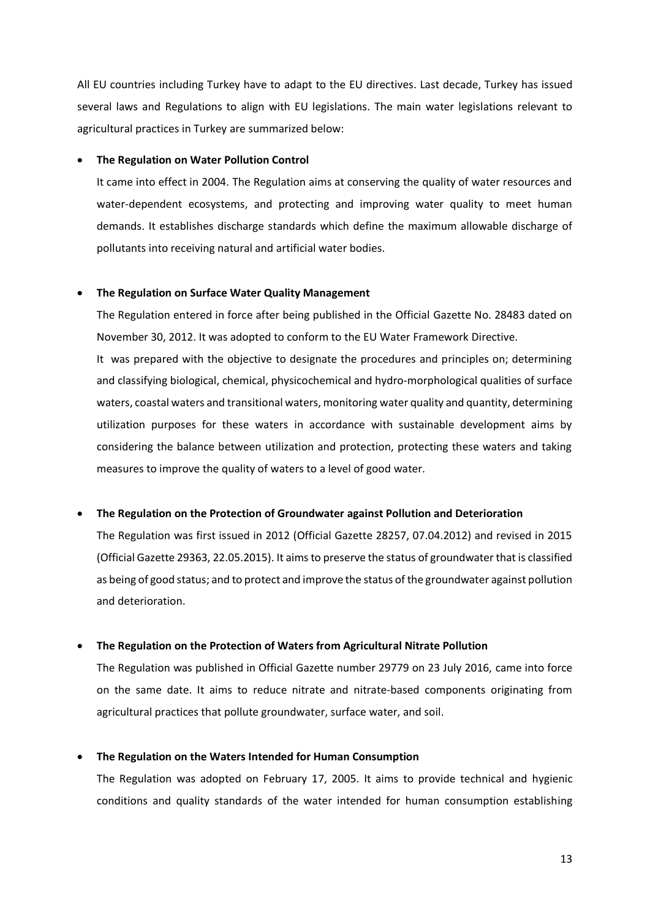All EU countries including Turkey have to adapt to the EU directives. Last decade, Turkey has issued several laws and Regulations to align with EU legislations. The main water legislations relevant to agricultural practices in Turkey are summarized below:

#### • **The Regulation on Water Pollution Control**

It came into effect in 2004. The Regulation aims at conserving the quality of water resources and water-dependent ecosystems, and protecting and improving water quality to meet human demands. It establishes discharge standards which define the maximum allowable discharge of pollutants into receiving natural and artificial water bodies.

#### • **The Regulation on Surface Water Quality Management**

The Regulation entered in force after being published in the Official Gazette No. 28483 dated on November 30, 2012. It was adopted to conform to the EU Water Framework Directive.

It was prepared with the objective to designate the procedures and principles on; determining and classifying biological, chemical, physicochemical an[d hydro-morphological](https://www.google.com/search?newwindow=1&q=hydromorphological&spell=1&sa=X&ved=0ahUKEwj2gtbB-LXhAhXDyKYKHVYBAkcQkeECCCooAA) qualities of surface waters, coastal waters and transitional waters, monitoring water quality and quantity, determining utilization purposes for these waters in accordance with sustainable development aims by considering the balance between utilization and protection, protecting these waters and taking measures to improve the quality of waters to a level of good water.

#### • **The Regulation on the Protection of Groundwater against Pollution and Deterioration**

The Regulation was first issued in 2012 (Official Gazette 28257, 07.04.2012) and revised in 2015 (Official Gazette 29363, 22.05.2015). It aims to preserve the status of groundwater that is classified as being of good status; and to protect and improve the status of the groundwater against pollution and deterioration.

#### • **The Regulation on the Protection of Waters from Agricultural Nitrate Pollution**

The Regulation was published in Official Gazette number 29779 on 23 July 2016, came into force on the same date. It aims to reduce nitrate and nitrate-based components originating from agricultural practices that pollute groundwater, surface water, and soil.

#### • **The Regulation on the Waters Intended for Human Consumption**

The Regulation was adopted on February 17, 2005. It aims to provide technical and hygienic conditions and quality standards of the water intended for human consumption establishing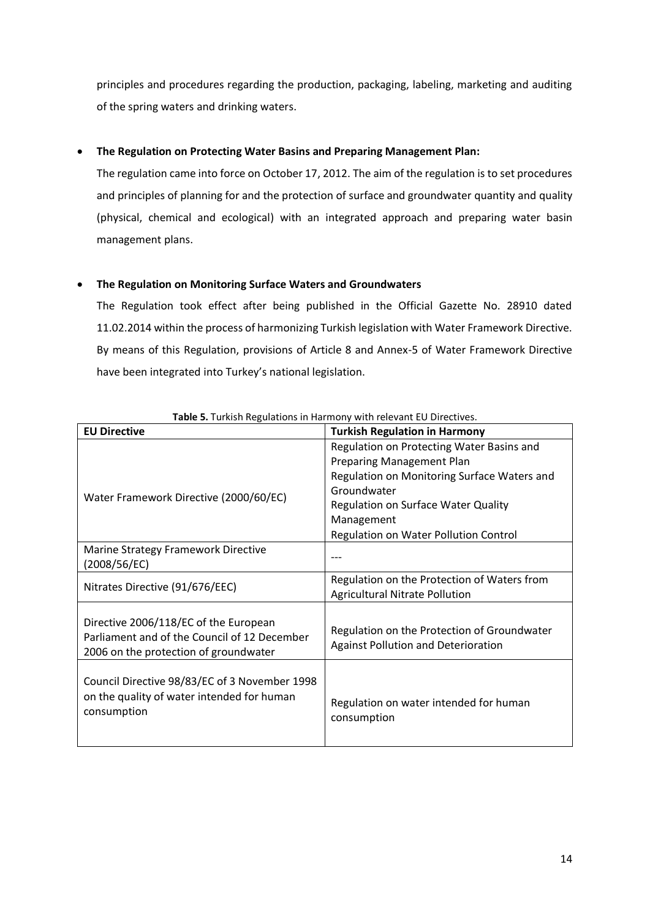principles and procedures regarding the production, packaging, labeling, marketing and auditing of the spring waters and drinking waters.

#### • **The Regulation on Protecting Water Basins and Preparing Management Plan:**

The regulation came into force on October 17, 2012. The aim of the regulation is to set procedures and principles of planning for and the protection of surface and groundwater quantity and quality (physical, chemical and ecological) with an integrated approach and preparing water basin management plans.

#### • **The Regulation on Monitoring Surface Waters and Groundwaters**

The Regulation took effect after being published in the Official Gazette No. 28910 dated 11.02.2014 within the process of harmonizing Turkish legislation with Water Framework Directive. By means of this Regulation, provisions of Article 8 and Annex-5 of Water Framework Directive have been integrated into Turkey's national legislation.

<span id="page-13-2"></span><span id="page-13-1"></span>

| <b>EU Directive</b>                           | <b>Turkish Regulation in Harmony</b>        |
|-----------------------------------------------|---------------------------------------------|
|                                               | Regulation on Protecting Water Basins and   |
|                                               | <b>Preparing Management Plan</b>            |
|                                               | Regulation on Monitoring Surface Waters and |
| Water Framework Directive (2000/60/EC)        | Groundwater                                 |
|                                               | <b>Regulation on Surface Water Quality</b>  |
|                                               | Management                                  |
|                                               | Regulation on Water Pollution Control       |
| Marine Strategy Framework Directive           |                                             |
| (2008/56/EC)                                  |                                             |
| Nitrates Directive (91/676/EEC)               | Regulation on the Protection of Waters from |
|                                               | <b>Agricultural Nitrate Pollution</b>       |
|                                               |                                             |
| Directive 2006/118/EC of the European         | Regulation on the Protection of Groundwater |
| Parliament and of the Council of 12 December  | <b>Against Pollution and Deterioration</b>  |
| 2006 on the protection of groundwater         |                                             |
| Council Directive 98/83/EC of 3 November 1998 |                                             |
| on the quality of water intended for human    |                                             |
| consumption                                   | Regulation on water intended for human      |
|                                               | consumption                                 |
|                                               |                                             |

<span id="page-13-0"></span>**Table 5.** Turkish Regulations in Harmony with relevant EU Directives.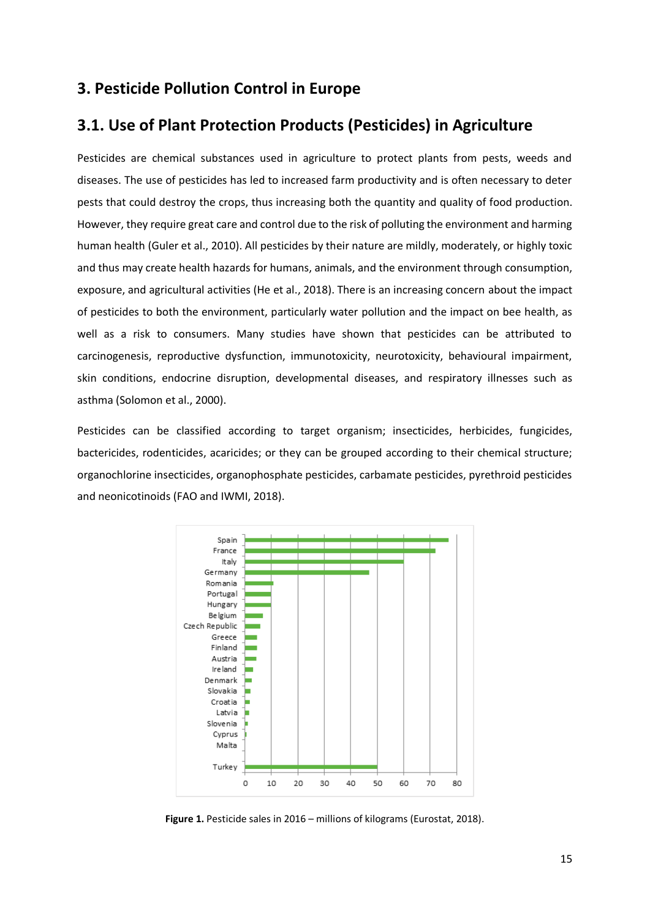# <span id="page-14-0"></span>**3. Pesticide Pollution Control in Europe**

# <span id="page-14-1"></span>**3.1. Use of Plant Protection Products (Pesticides) in Agriculture**

Pesticides are chemical substances used in agriculture to protect plants from pests, weeds and diseases. The use of pesticides has led to increased farm productivity and is often necessary to deter pests that could destroy the crops, thus increasing both the quantity and quality of food production. However, they require great care and control due to the risk of polluting the environment and harming human health (Guler et al., 2010). All pesticides by their nature are mildly, moderately, or highly toxic and thus may create health hazards for humans, animals, and the environment through consumption, exposure, and agricultural activities (He et al., 2018). There is an increasing concern about the impact of pesticides to both the environment, particularly water pollution and the impact on bee health, as well as a risk to consumers. Many studies have shown that pesticides can be attributed to carcinogenesis, reproductive dysfunction, immunotoxicity, neurotoxicity, behavioural impairment, skin conditions, endocrine disruption, developmental diseases, and respiratory illnesses such as asthma (Solomon et al., 2000).

Pesticides can be classified according to target organism; insecticides, herbicides, fungicides, bactericides, rodenticides, acaricides; or they can be grouped according to their chemical structure; organochlorine insecticides, organophosphate pesticides, carbamate pesticides, pyrethroid pesticides and neonicotinoids (FAO and IWMI, 2018).



<span id="page-14-2"></span>**Figure 1.** Pesticide sales in 2016 – millions of kilograms (Eurostat, 2018).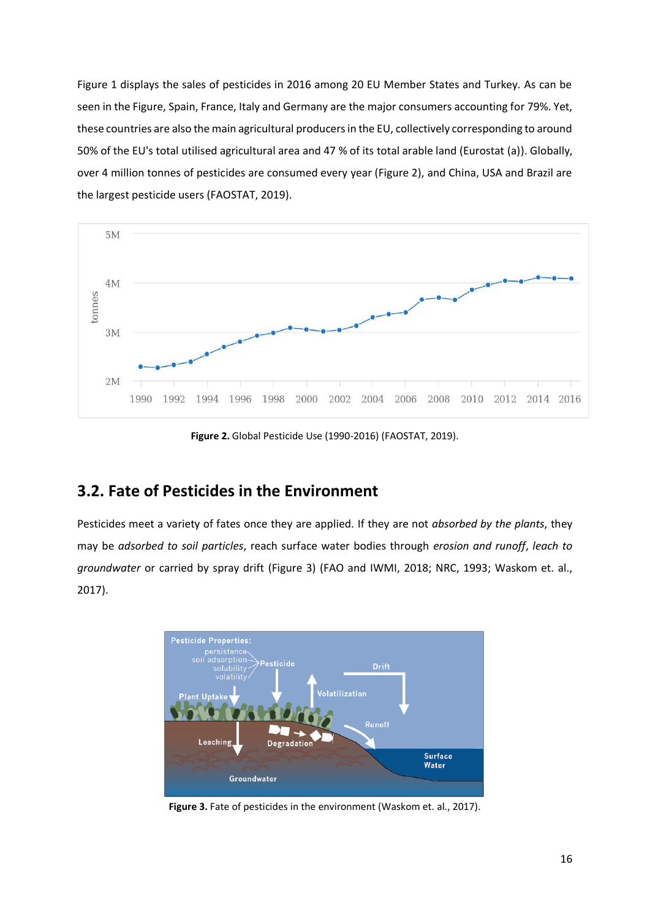Figure 1 displays the sales of pesticides in 2016 among 20 EU Member States and Turkey. As can be seen in the Figure, Spain, France, Italy and Germany are the major consumers accounting for 79%. Yet, these countries are also the main agricultural producers in the EU, collectively corresponding to around 50% of the EU's total utilised agricultural area and 47 % of its total arable land (Eurostat (a)). Globally, over 4 million tonnes of pesticides are consumed every year (Figure 2), and China, USA and Brazil are the largest pesticide users (FAOSTAT, 2019).



**Figure 2.** Global Pesticide Use (1990-2016) (FAOSTAT, 2019).

## <span id="page-15-1"></span><span id="page-15-0"></span>**3.2. Fate of Pesticides in the Environment**

Pesticides meet a variety of fates once they are applied. If they are not *absorbed by the plants*, they may be *adsorbed to soil particles*, reach surface water bodies through *erosion and runoff*, *leach to groundwater* or carried by spray drift (Figure 3) (FAO and IWMI, 2018; [NRC,](https://www.nap.edu/read/2132/chapter/12#315) 1993; Waskom et. al., 2017).



<span id="page-15-2"></span>**Figure 3.** Fate of pesticides in the environment (Waskom et. al., 2017).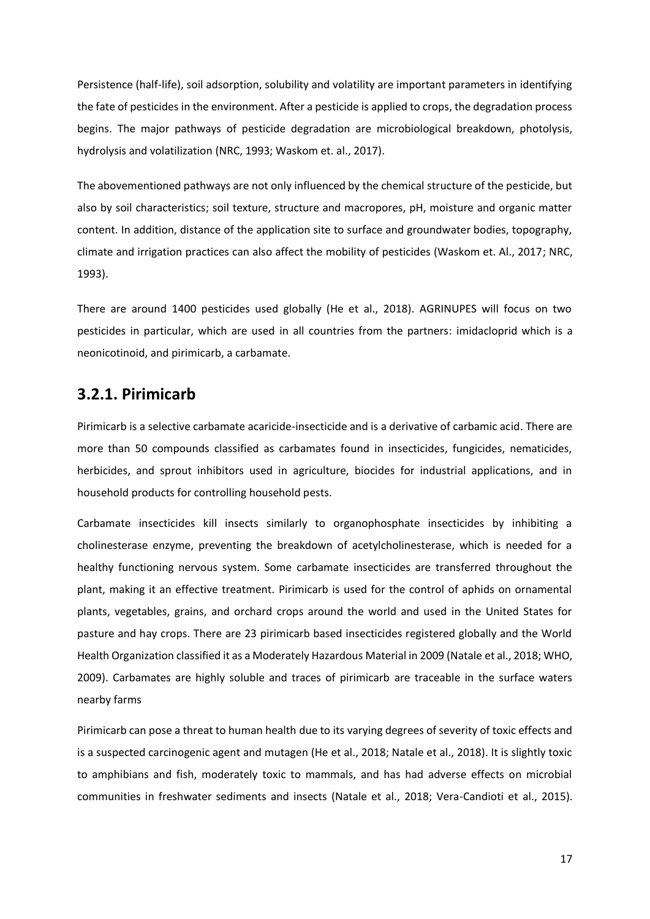Persistence (half-life), soil adsorption, solubility and volatility are important parameters in identifying the fate of pesticides in the environment. After a pesticide is applied to crops, the degradation process begins. The major pathways of pesticide degradation are microbiological breakdown, photolysis, hydrolysis and volatilization [\(NRC,](https://www.nap.edu/read/2132/chapter/12#315) 1993; Waskom et. al., 2017).

The abovementioned pathways are not only influenced by the chemical structure of the pesticide, but also by soil characteristics; soil texture, structure and macropores, pH, moisture and organic matter content. In addition, distance of the application site to surface and groundwater bodies, topography, climate and irrigation practices can also affect the mobility of pesticides (Waskom et. Al., 2017; [NRC,](https://www.nap.edu/read/2132/chapter/12#315) 1993).

There are around 1400 pesticides used globally (He et al., 2018). AGRINUPES will focus on two pesticides in particular, which are used in all countries from the partners: imidacloprid which is a neonicotinoid, and pirimicarb, a carbamate.

### <span id="page-16-0"></span>**3.2.1. Pirimicarb**

Pirimicarb is a selective carbamate acaricide-insecticide and is a derivative of carbamic acid. There are more than 50 compounds classified as carbamates found in insecticides, fungicides, nematicides, herbicides, and sprout inhibitors used in agriculture, biocides for industrial applications, and in household products for controlling household pests.

Carbamate insecticides kill insects similarly to organophosphate insecticides by inhibiting a cholinesterase enzyme, preventing the breakdown of acetylcholinesterase, which is needed for a healthy functioning nervous system. Some carbamate insecticides are transferred throughout the plant, making it an effective treatment. Pirimicarb is used for the control of aphids on ornamental plants, vegetables, grains, and orchard crops around the world and used in the United States for pasture and hay crops. There are 23 pirimicarb based insecticides registered globally and the World Health Organization classified it as a Moderately Hazardous Material in 2009 (Natale et al., 2018; WHO, 2009). Carbamates are highly soluble and traces of pirimicarb are traceable in the surface waters nearby farms

Pirimicarb can pose a threat to human health due to its varying degrees of severity of toxic effects and is a suspected carcinogenic agent and mutagen (He et al., 2018; Natale et al., 2018). It is slightly toxic to amphibians and fish, moderately toxic to mammals, and has had adverse effects on microbial communities in freshwater sediments and insects (Natale et al., 2018; Vera-Candioti et al., 2015).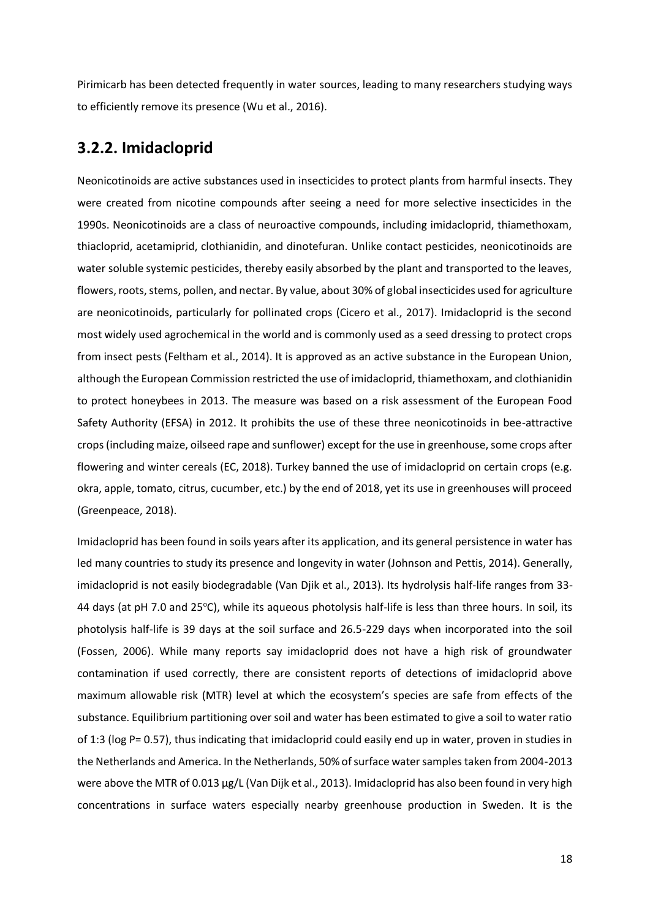Pirimicarb has been detected frequently in water sources, leading to many researchers studying ways to efficiently remove its presence (Wu et al., 2016).

### <span id="page-17-0"></span>**3.2.2. Imidacloprid**

Neonicotinoids are active substances used in insecticides to protect plants from harmful insects. They were created from nicotine compounds after seeing a need for more selective insecticides in the 1990s. Neonicotinoids are a class of neuroactive compounds, including imidacloprid, thiamethoxam, thiacloprid, acetamiprid, clothianidin, and dinotefuran. Unlike contact pesticides, neonicotinoids are water soluble systemic pesticides, thereby easily absorbed by the plant and transported to the leaves, flowers, roots, stems, pollen, and nectar. By value, about 30% of global insecticides used for agriculture are neonicotinoids, particularly for pollinated crops (Cicero et al., 2017). Imidacloprid is the second most widely used agrochemical in the world and is commonly used as a seed dressing to protect crops from insect pests (Feltham et al., 2014). It is approved as an active substance in the European Union, although the European Commission restricted the use of imidacloprid, thiamethoxam, and clothianidin to protect honeybees in 2013. The measure was based on a risk assessment of the European Food Safety Authority (EFSA) in 2012. It prohibits the use of these three neonicotinoids in bee-attractive crops (including maize, oilseed rape and sunflower) except for the use in greenhouse, some crops after flowering and winter cereals (EC, 2018). Turkey banned the use of imidacloprid on certain crops (e.g. okra, apple, tomato, citrus, cucumber, etc.) by the end of 2018, yet its use in greenhouses will proceed (Greenpeace, 2018).

Imidacloprid has been found in soils years after its application, and its general persistence in water has led many countries to study its presence and longevity in water (Johnson and Pettis, 2014). Generally, imidacloprid is not easily biodegradable (Van Djik et al., 2013). Its hydrolysis half-life ranges from 33- 44 days (at pH 7.0 and 25 $^{\circ}$ C), while its aqueous photolysis half-life is less than three hours. In soil, its photolysis half-life is 39 days at the soil surface and 26.5-229 days when incorporated into the soil (Fossen, 2006). While many reports say imidacloprid does not have a high risk of groundwater contamination if used correctly, there are consistent reports of detections of imidacloprid above maximum allowable risk (MTR) level at which the ecosystem's species are safe from effects of the substance. Equilibrium partitioning over soil and water has been estimated to give a soil to water ratio of 1:3 (log P= 0.57), thus indicating that imidacloprid could easily end up in water, proven in studies in the Netherlands and America. In the Netherlands, 50% of surface water samples taken from 2004-2013 were above the MTR of 0.013 μg/L (Van Dijk et al., 2013). Imidacloprid has also been found in very high concentrations in surface waters especially nearby greenhouse production in Sweden. It is the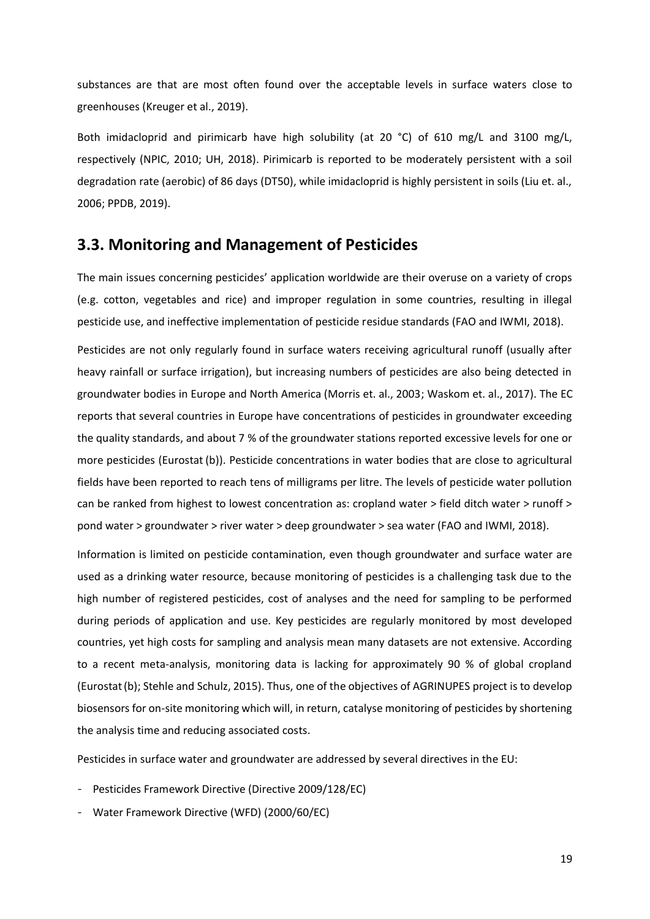substances are that are most often found over the acceptable levels in surface waters close to greenhouses (Kreuger et al., 2019).

Both imidacloprid and pirimicarb have high solubility (at 20 °C) of 610 mg/L and 3100 mg/L, respectively (NPIC, 2010; UH, 2018). Pirimicarb is reported to be moderately persistent with a soil degradation rate (aerobic) of 86 days (DT50), while imidacloprid is highly persistent in soils (Liu et. al., 2006; PPDB, 2019).

### <span id="page-18-0"></span>**3.3. Monitoring and Management of Pesticides**

The main issues concerning pesticides' application worldwide are their overuse on a variety of crops (e.g. cotton, vegetables and rice) and improper regulation in some countries, resulting in illegal pesticide use, and ineffective implementation of pesticide residue standards (FAO and IWMI, 2018).

Pesticides are not only regularly found in surface waters receiving agricultural runoff (usually after heavy rainfall or surface irrigation), but increasing numbers of pesticides are also being detected in groundwater bodies in Europe and North America (Morris et. al., 2003; Waskom et. al., 2017). The EC reports that several countries in Europe have concentrations of pesticides in groundwater exceeding the quality standards, and about 7 % of the groundwater stations reported excessive levels for one or more pesticides (Eurostat (b)). Pesticide concentrations in water bodies that are close to agricultural fields have been reported to reach tens of milligrams per litre. The levels of pesticide water pollution can be ranked from highest to lowest concentration as: cropland water > field ditch water > runoff > pond water > groundwater > river water > deep groundwater > sea water (FAO and IWMI, 2018).

Information is limited on pesticide contamination, even though groundwater and surface water are used as a drinking water resource, because monitoring of pesticides is a challenging task due to the high number of registered pesticides, cost of analyses and the need for sampling to be performed during periods of application and use. Key pesticides are regularly monitored by most developed countries, yet high costs for sampling and analysis mean many datasets are not extensive. According to a recent meta-analysis, monitoring data is lacking for approximately 90 % of global cropland (Eurostat(b); Stehle and Schulz, 2015). Thus, one of the objectives of AGRINUPES project is to develop biosensors for on-site monitoring which will, in return, catalyse monitoring of pesticides by shortening the analysis time and reducing associated costs.

Pesticides in surface water and groundwater are addressed by several directives in the EU:

- Pesticides Framework Directive (Directive 2009/128/EC)
- Water Framework Directive (WFD) (2000/60/EC)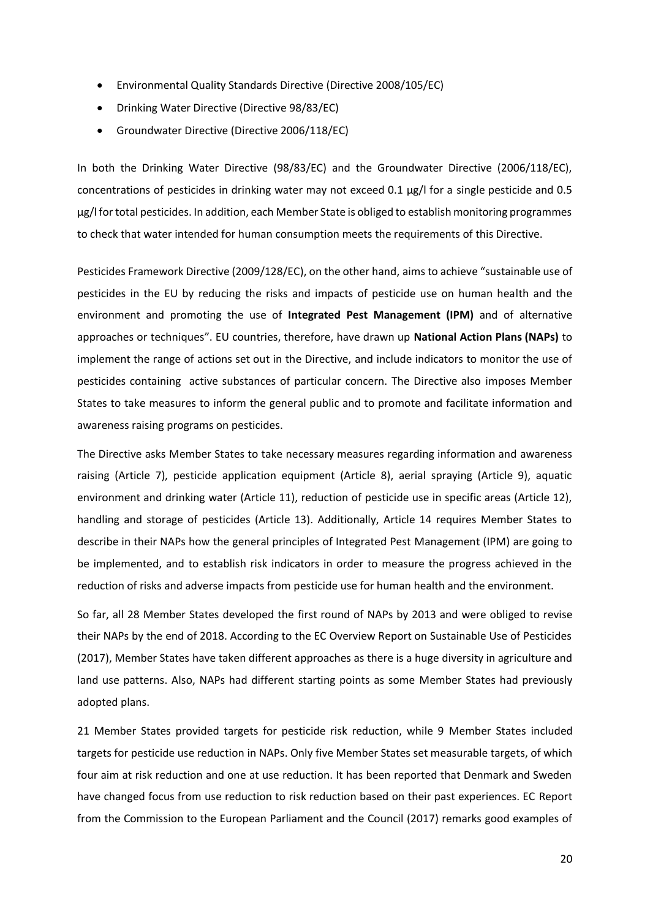- Environmental Quality Standards Directive (Directive 2008/105/EC)
- Drinking Water Directive (Directive 98/83/EC)
- Groundwater Directive (Directive 2006/118/EC)

In both the Drinking Water Directive (98/83/EC) and the Groundwater Directive (2006/118/EC), concentrations of pesticides in drinking water may not exceed 0.1  $\mu$ g/l for a single pesticide and 0.5 µg/l for total pesticides. In addition, each Member State is obliged to establish monitoring programmes to check that water intended for human consumption meets the requirements of this Directive.

[Pesticides Framework Directive \(2009/128/EC\)](http://eur-lex.europa.eu/legal-content/EN/ALL/?uri=CELEX:02009L0128-20091125), on the other hand, aims to achieve "sustainable use of pesticides in the EU by reducing the risks and impacts of pesticide use on human health and the environment and promoting the use of **Integrated Pest Management (IPM)** and of alternative approaches or techniques". EU countries, therefore, have drawn up **National Action Plans (NAPs)** to implement the range of actions set out in the Directive, and include indicators to monitor the use of pesticides containing active substances of particular concern. The Directive also imposes Member States to take measures to inform the general public and to promote and facilitate information and awareness raising programs on pesticides.

The Directive asks Member States to take necessary measures regarding information and awareness raising (Article 7), pesticide application equipment (Article 8), aerial spraying (Article 9), aquatic environment and drinking water (Article 11), reduction of pesticide use in specific areas (Article 12), handling and storage of pesticides (Article 13). Additionally, Article 14 requires Member States to describe in their NAPs how the general principles of Integrated Pest Management (IPM) are going to be implemented, and to establish risk indicators in order to measure the progress achieved in the reduction of risks and adverse impacts from pesticide use for human health and the environment.

So far, all 28 Member States developed the first round of NAPs by 2013 and were obliged to revise their NAPs by the end of 2018. According to the EC Overview Report on Sustainable Use of Pesticides (2017), Member States have taken different approaches as there is a huge diversity in agriculture and land use patterns. Also, NAPs had different starting points as some Member States had previously adopted plans.

21 Member States provided targets for pesticide risk reduction, while 9 Member States included targets for pesticide use reduction in NAPs. Only five Member States set measurable targets, of which four aim at risk reduction and one at use reduction. It has been reported that Denmark and Sweden have changed focus from use reduction to risk reduction based on their past experiences. EC Report from the Commission to the European Parliament and the Council (2017) remarks good examples of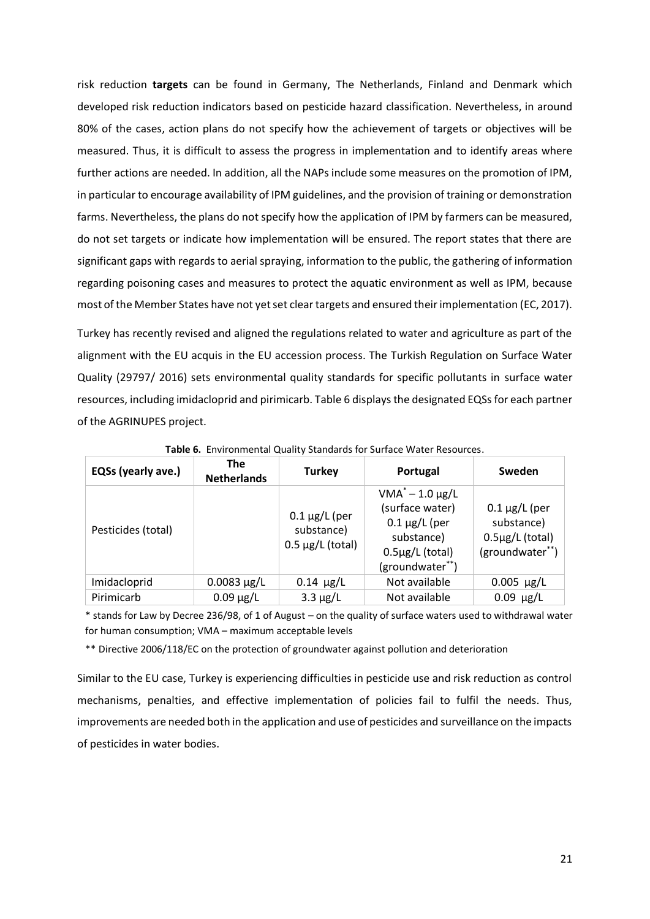risk reduction **targets** can be found in Germany, The Netherlands, Finland and Denmark which developed risk reduction indicators based on pesticide hazard classification. Nevertheless, in around 80% of the cases, action plans do not specify how the achievement of targets or objectives will be measured. Thus, it is difficult to assess the progress in implementation and to identify areas where further actions are needed. In addition, all the NAPs include some measures on the promotion of IPM, in particular to encourage availability of IPM guidelines, and the provision of training or demonstration farms. Nevertheless, the plans do not specify how the application of IPM by farmers can be measured, do not set targets or indicate how implementation will be ensured. The report states that there are significant gaps with regards to aerial spraying, information to the public, the gathering of information regarding poisoning cases and measures to protect the aquatic environment as well as IPM, because most of the Member States have not yet set clear targets and ensured their implementation (EC, 2017).

Turkey has recently revised and aligned the regulations related to water and agriculture as part of the alignment with the EU acquis in the EU accession process. The Turkish Regulation on Surface Water Quality (29797/ 2016) sets environmental quality standards for specific pollutants in surface water resources, including imidacloprid and pirimicarb. Table 6 displays the designated EQSs for each partner of the AGRINUPES project.

<span id="page-20-0"></span>

| EQSs (yearly ave.) | <b>The</b><br><b>Netherlands</b> | <b>Turkey</b>                                             | Portugal                                                                                                                | Sweden                                                                      |
|--------------------|----------------------------------|-----------------------------------------------------------|-------------------------------------------------------------------------------------------------------------------------|-----------------------------------------------------------------------------|
| Pesticides (total) |                                  | $0.1 \mu g/L$ (per<br>substance)<br>$0.5 \mu g/L$ (total) | $VMA^* - 1.0 \mu g/L$<br>(surface water)<br>$0.1 \mu g/L$ (per<br>substance)<br>$0.5\mu$ g/L (total)<br>(groundwater**) | $0.1 \mu g/L$ (per<br>substance)<br>$0.5\mu g/L$ (total)<br>(groundwater**) |
| Imidacloprid       | $0.0083 \mu g/L$                 | $0.14 \mu g/L$                                            | Not available                                                                                                           | $0.005 \mu g/L$                                                             |
| Pirimicarb         | $0.09 \mu g/L$                   | $3.3 \mu g/L$                                             | Not available                                                                                                           | $0.09 \mu g/L$                                                              |

**Table 6.** Environmental Quality Standards for Surface Water Resources.

\* stands for Law by Decree 236/98, of 1 of August – on the quality of surface waters used to withdrawal water for human consumption; VMA – maximum acceptable levels

\*\* Directive 2006/118/EC on the protection of groundwater against pollution and deterioration

Similar to the EU case, Turkey is experiencing difficulties in pesticide use and risk reduction as control mechanisms, penalties, and effective implementation of policies fail to fulfil the needs. Thus, improvements are needed both in the application and use of pesticides and surveillance on the impacts of pesticides in water bodies.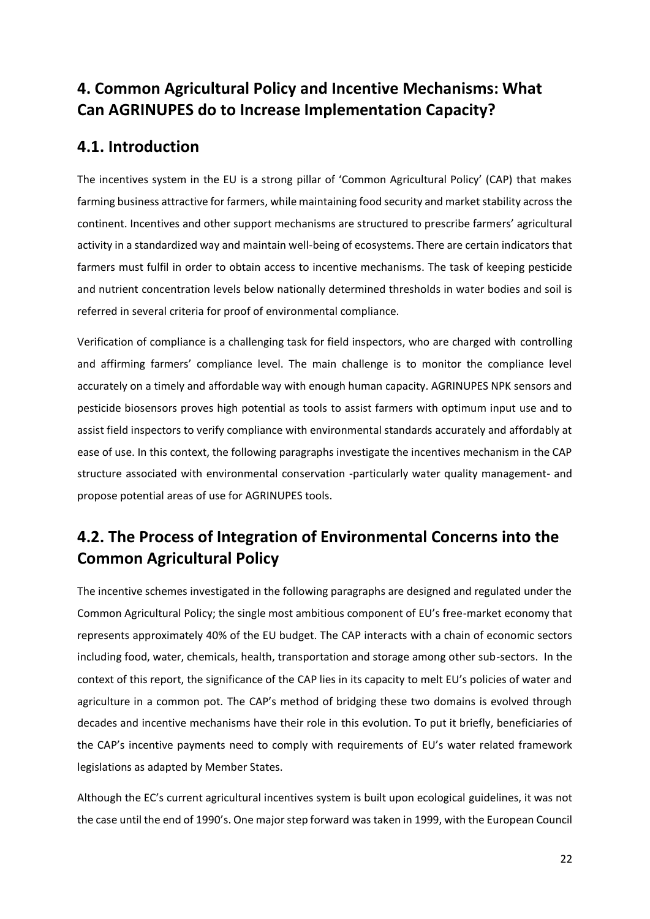# <span id="page-21-0"></span>**4. Common Agricultural Policy and Incentive Mechanisms: What Can AGRINUPES do to Increase Implementation Capacity?**

# <span id="page-21-1"></span>**4.1. Introduction**

The incentives system in the EU is a strong pillar of 'Common Agricultural Policy' (CAP) that makes farming business attractive for farmers, while maintaining food security and market stability across the continent. Incentives and other support mechanisms are structured to prescribe farmers' agricultural activity in a standardized way and maintain well-being of ecosystems. There are certain indicators that farmers must fulfil in order to obtain access to incentive mechanisms. The task of keeping pesticide and nutrient concentration levels below nationally determined thresholds in water bodies and soil is referred in several criteria for proof of environmental compliance.

Verification of compliance is a challenging task for field inspectors, who are charged with controlling and affirming farmers' compliance level. The main challenge is to monitor the compliance level accurately on a timely and affordable way with enough human capacity. AGRINUPES NPK sensors and pesticide biosensors proves high potential as tools to assist farmers with optimum input use and to assist field inspectors to verify compliance with environmental standards accurately and affordably at ease of use. In this context, the following paragraphs investigate the incentives mechanism in the CAP structure associated with environmental conservation -particularly water quality management- and propose potential areas of use for AGRINUPES tools.

# <span id="page-21-2"></span>**4.2. The Process of Integration of Environmental Concerns into the Common Agricultural Policy**

The incentive schemes investigated in the following paragraphs are designed and regulated under the Common Agricultural Policy; the single most ambitious component of EU's free-market economy that represents approximately 40% of the EU budget. The CAP interacts with a chain of economic sectors including food, water, chemicals, health, transportation and storage among other sub-sectors. In the context of this report, the significance of the CAP lies in its capacity to melt EU's policies of water and agriculture in a common pot. The CAP's method of bridging these two domains is evolved through decades and incentive mechanisms have their role in this evolution. To put it briefly, beneficiaries of the CAP's incentive payments need to comply with requirements of EU's water related framework legislations as adapted by Member States.

Although the EC's current agricultural incentives system is built upon ecological guidelines, it was not the case until the end of 1990's. One major step forward was taken in 1999, with the European Council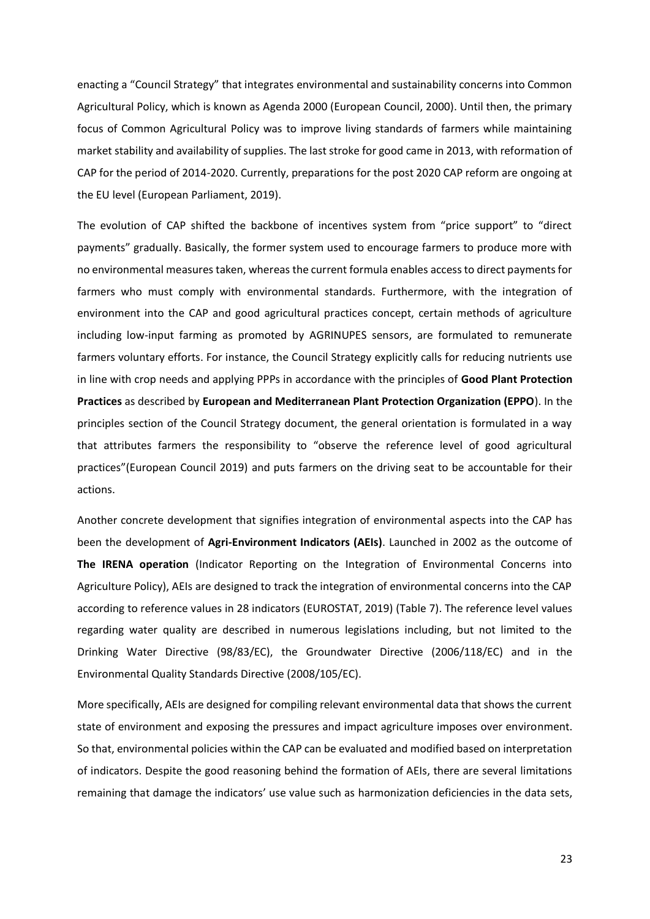enacting a "Council Strategy" that integrates environmental and sustainability concerns into Common Agricultural Policy, which is known as Agenda 2000 (European Council, 2000). Until then, the primary focus of Common Agricultural Policy was to improve living standards of farmers while maintaining market stability and availability of supplies. The last stroke for good came in 2013, with reformation of CAP for the period of 2014-2020. Currently, preparations for the post 2020 CAP reform are ongoing at the EU level (European Parliament, 2019).

The evolution of CAP shifted the backbone of incentives system from "price support" to "direct payments" gradually. Basically, the former system used to encourage farmers to produce more with no environmental measures taken, whereas the current formula enables access to direct payments for farmers who must comply with environmental standards. Furthermore, with the integration of environment into the CAP and good agricultural practices concept, certain methods of agriculture including low-input farming as promoted by AGRINUPES sensors, are formulated to remunerate farmers voluntary efforts. For instance, the Council Strategy explicitly calls for reducing nutrients use in line with crop needs and applying PPPs in accordance with the principles of **Good Plant Protection Practices** as described by **European and Mediterranean Plant Protection Organization (EPPO**). In the principles section of the Council Strategy document, the general orientation is formulated in a way that attributes farmers the responsibility to "observe the reference level of good agricultural practices"(European Council 2019) and puts farmers on the driving seat to be accountable for their actions.

Another concrete development that signifies integration of environmental aspects into the CAP has been the development of **Agri-Environment Indicators (AEIs)**. Launched in 2002 as the outcome of **The IRENA operation** (Indicator Reporting on the Integration of Environmental Concerns into Agriculture Policy), AEIs are designed to track the integration of environmental concerns into the CAP according to reference values in 28 indicators (EUROSTAT, 2019) (Table 7). The reference level values regarding water quality are described in numerous legislations including, but not limited to the Drinking Water Directive (98/83/EC), the Groundwater Directive (2006/118/EC) and in the Environmental Quality Standards Directive (2008/105/EC).

More specifically, AEIs are designed for compiling relevant environmental data that shows the current state of environment and exposing the pressures and impact agriculture imposes over environment. So that, environmental policies within the CAP can be evaluated and modified based on interpretation of indicators. Despite the good reasoning behind the formation of AEIs, there are several limitations remaining that damage the indicators' use value such as harmonization deficiencies in the data sets,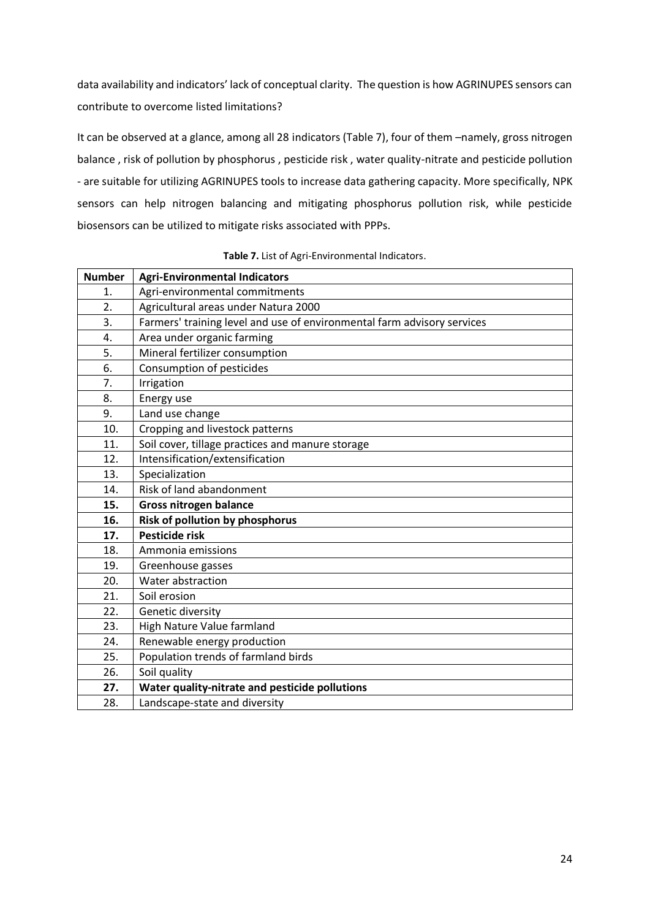data availability and indicators' lack of conceptual clarity. The question is how AGRINUPES sensors can contribute to overcome listed limitations?

It can be observed at a glance, among all 28 indicators (Table 7), four of them –namely, gross nitrogen balance , risk of pollution by phosphorus , pesticide risk , water quality-nitrate and pesticide pollution - are suitable for utilizing AGRINUPES tools to increase data gathering capacity. More specifically, NPK sensors can help nitrogen balancing and mitigating phosphorus pollution risk, while pesticide biosensors can be utilized to mitigate risks associated with PPPs.

<span id="page-23-0"></span>

| <b>Number</b> | <b>Agri-Environmental Indicators</b>                                    |
|---------------|-------------------------------------------------------------------------|
| 1.            | Agri-environmental commitments                                          |
| 2.            | Agricultural areas under Natura 2000                                    |
| 3.            | Farmers' training level and use of environmental farm advisory services |
| 4.            | Area under organic farming                                              |
| 5.            | Mineral fertilizer consumption                                          |
| 6.            | Consumption of pesticides                                               |
| 7.            | Irrigation                                                              |
| 8.            | Energy use                                                              |
| 9.            | Land use change                                                         |
| 10.           | Cropping and livestock patterns                                         |
| 11.           | Soil cover, tillage practices and manure storage                        |
| 12.           | Intensification/extensification                                         |
| 13.           | Specialization                                                          |
| 14.           | Risk of land abandonment                                                |
| 15.           | Gross nitrogen balance                                                  |
| 16.           | Risk of pollution by phosphorus                                         |
| 17.           | <b>Pesticide risk</b>                                                   |
| 18.           | Ammonia emissions                                                       |
| 19.           | Greenhouse gasses                                                       |
| 20.           | Water abstraction                                                       |
| 21.           | Soil erosion                                                            |
| 22.           | Genetic diversity                                                       |
| 23.           | High Nature Value farmland                                              |
| 24.           | Renewable energy production                                             |
| 25.           | Population trends of farmland birds                                     |
| 26.           | Soil quality                                                            |
| 27.           | Water quality-nitrate and pesticide pollutions                          |
| 28.           | Landscape-state and diversity                                           |

**Table 7.** List of Agri-Environmental Indicators.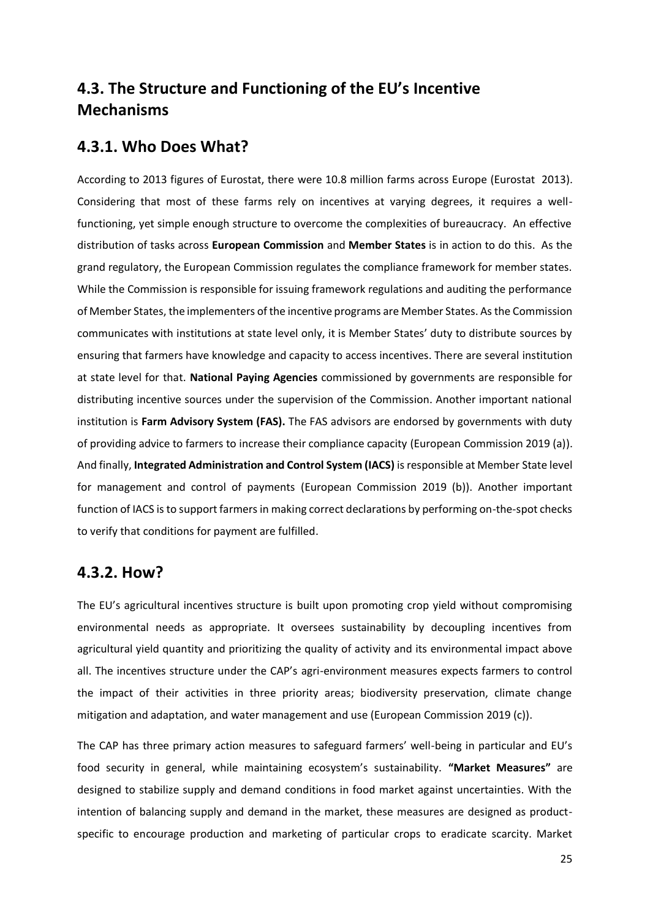# <span id="page-24-0"></span>**4.3. The Structure and Functioning of the EU's Incentive Mechanisms**

### <span id="page-24-1"></span>**4.3.1. Who Does What?**

According to 2013 figures of Eurostat, there were 10.8 million farms across Europe (Eurostat 2013). Considering that most of these farms rely on incentives at varying degrees, it requires a wellfunctioning, yet simple enough structure to overcome the complexities of bureaucracy. An effective distribution of tasks across **European Commission** and **Member States** is in action to do this. As the grand regulatory, the European Commission regulates the compliance framework for member states. While the Commission is responsible for issuing framework regulations and auditing the performance of Member States, the implementers of the incentive programs are Member States. As the Commission communicates with institutions at state level only, it is Member States' duty to distribute sources by ensuring that farmers have knowledge and capacity to access incentives. There are several institution at state level for that. **National Paying Agencies** commissioned by governments are responsible for distributing incentive sources under the supervision of the Commission. Another important national institution is **Farm Advisory System (FAS).** The FAS advisors are endorsed by governments with duty of providing advice to farmers to increase their compliance capacity (European Commission 2019 (a)). And finally, **Integrated Administration and Control System (IACS)** is responsible at Member State level for management and control of payments (European Commission 2019 (b)). Another important function of IACS is to support farmers in making correct declarations by performing on-the-spot checks to verify that conditions for payment are fulfilled.

## <span id="page-24-2"></span>**4.3.2. How?**

The EU's agricultural incentives structure is built upon promoting crop yield without compromising environmental needs as appropriate. It oversees sustainability by decoupling incentives from agricultural yield quantity and prioritizing the quality of activity and its environmental impact above all. The incentives structure under the CAP's agri-environment measures expects farmers to control the impact of their activities in three priority areas; biodiversity preservation, climate change mitigation and adaptation, and water management and use (European Commission 2019 (c)).

The CAP has three primary action measures to safeguard farmers' well-being in particular and EU's food security in general, while maintaining ecosystem's sustainability. **"Market Measures"** are designed to stabilize supply and demand conditions in food market against uncertainties. With the intention of balancing supply and demand in the market, these measures are designed as productspecific to encourage production and marketing of particular crops to eradicate scarcity. Market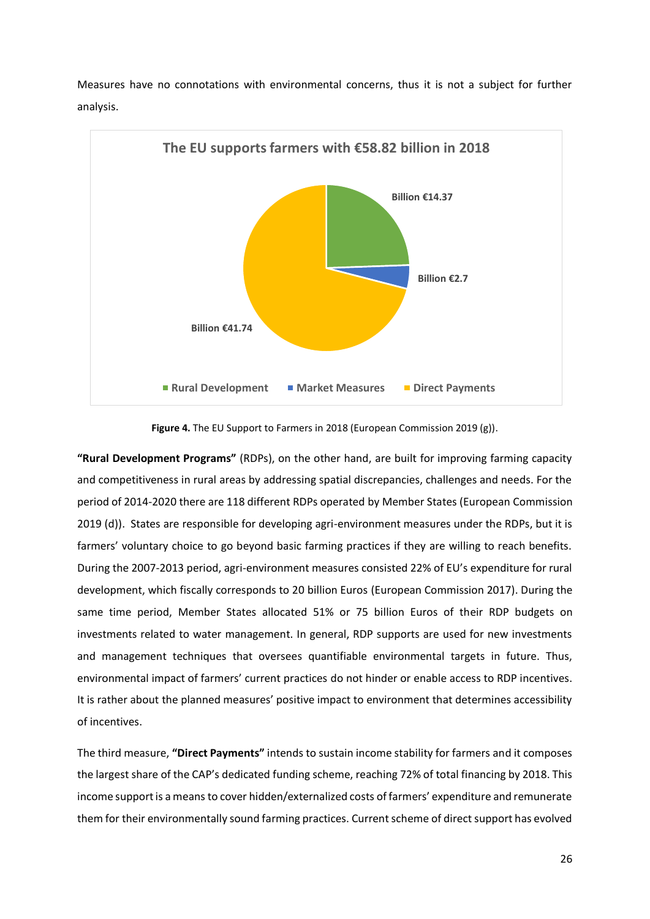Measures have no connotations with environmental concerns, thus it is not a subject for further analysis.



**Figure 4.** The EU Support to Farmers in 2018 (European Commission 2019 (g)).

<span id="page-25-0"></span>**"Rural Development Programs"** (RDPs), on the other hand, are built for improving farming capacity and competitiveness in rural areas by addressing spatial discrepancies, challenges and needs. For the period of 2014-2020 there are 118 different RDPs operated by Member States (European Commission 2019 (d)). States are responsible for developing agri-environment measures under the RDPs, but it is farmers' voluntary choice to go beyond basic farming practices if they are willing to reach benefits. During the 2007-2013 period, agri-environment measures consisted 22% of EU's expenditure for rural development, which fiscally corresponds to 20 billion Euros (European Commission 2017). During the same time period, Member States allocated 51% or 75 billion Euros of their RDP budgets on investments related to water management. In general, RDP supports are used for new investments and management techniques that oversees quantifiable environmental targets in future. Thus, environmental impact of farmers' current practices do not hinder or enable access to RDP incentives. It is rather about the planned measures' positive impact to environment that determines accessibility of incentives.

The third measure, **"Direct Payments"** intends to sustain income stability for farmers and it composes the largest share of the CAP's dedicated funding scheme, reaching 72% of total financing by 2018. This income support is a means to cover hidden/externalized costs of farmers' expenditure and remunerate them for their environmentally sound farming practices. Current scheme of direct support has evolved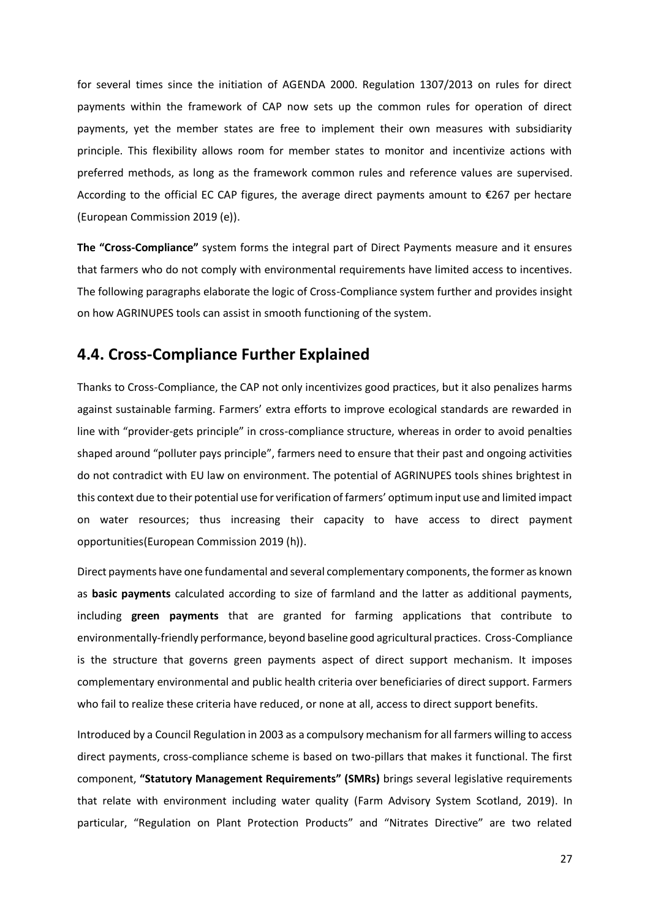for several times since the initiation of AGENDA 2000. Regulation 1307/2013 on rules for direct payments within the framework of CAP now sets up the common rules for operation of direct payments, yet the member states are free to implement their own measures with subsidiarity principle. This flexibility allows room for member states to monitor and incentivize actions with preferred methods, as long as the framework common rules and reference values are supervised. According to the official EC CAP figures, the average direct payments amount to €267 per hectare (European Commission 2019 (e)).

**The "Cross-Compliance"** system forms the integral part of Direct Payments measure and it ensures that farmers who do not comply with environmental requirements have limited access to incentives. The following paragraphs elaborate the logic of Cross-Compliance system further and provides insight on how AGRINUPES tools can assist in smooth functioning of the system.

# <span id="page-26-0"></span>**4.4. Cross-Compliance Further Explained**

Thanks to Cross-Compliance, the CAP not only incentivizes good practices, but it also penalizes harms against sustainable farming. Farmers' extra efforts to improve ecological standards are rewarded in line with "provider-gets principle" in cross-compliance structure, whereas in order to avoid penalties shaped around "polluter pays principle", farmers need to ensure that their past and ongoing activities do not contradict with EU law on environment. The potential of AGRINUPES tools shines brightest in this context due to their potential use for verification of farmers' optimum input use and limited impact on water resources; thus increasing their capacity to have access to direct payment opportunities(European Commission 2019 (h)).

Direct payments have one fundamental and several complementary components, the former as known as **basic payments** calculated according to size of farmland and the latter as additional payments, including **green payments** that are granted for farming applications that contribute to environmentally-friendly performance, beyond baseline good agricultural practices. Cross-Compliance is the structure that governs green payments aspect of direct support mechanism. It imposes complementary environmental and public health criteria over beneficiaries of direct support. Farmers who fail to realize these criteria have reduced, or none at all, access to direct support benefits.

Introduced by a Council Regulation in 2003 as a compulsory mechanism for all farmers willing to access direct payments, cross-compliance scheme is based on two-pillars that makes it functional. The first component, **"Statutory Management Requirements" (SMRs)** brings several legislative requirements that relate with environment including water quality (Farm Advisory System Scotland, 2019). In particular, "Regulation on Plant Protection Products" and "Nitrates Directive" are two related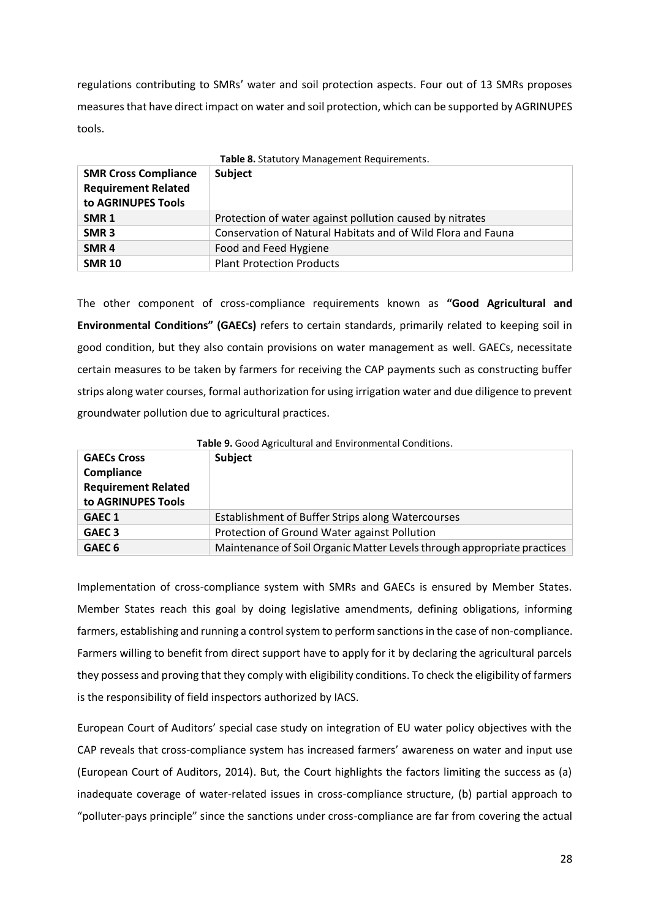regulations contributing to SMRs' water and soil protection aspects. Four out of 13 SMRs proposes measures that have direct impact on water and soil protection, which can be supported by AGRINUPES tools.

<span id="page-27-0"></span>

| Table 8. Statutory Management Requirements.                                     |                                                              |
|---------------------------------------------------------------------------------|--------------------------------------------------------------|
| <b>SMR Cross Compliance</b><br><b>Requirement Related</b><br>to AGRINUPES Tools | Subject                                                      |
| SMR <sub>1</sub>                                                                | Protection of water against pollution caused by nitrates     |
| SMR <sub>3</sub>                                                                | Conservation of Natural Habitats and of Wild Flora and Fauna |
| SMR <sub>4</sub>                                                                | Food and Feed Hygiene                                        |
| <b>SMR 10</b>                                                                   | <b>Plant Protection Products</b>                             |

The other component of cross-compliance requirements known as **"Good Agricultural and Environmental Conditions" (GAECs)** refers to certain standards, primarily related to keeping soil in good condition, but they also contain provisions on water management as well. GAECs, necessitate certain measures to be taken by farmers for receiving the CAP payments such as constructing buffer strips along water courses, formal authorization for using irrigation water and due diligence to prevent groundwater pollution due to agricultural practices.

<span id="page-27-1"></span>

| <b>Table 9.</b> Good Agricultural and Environmental Conditions. |                                                                         |
|-----------------------------------------------------------------|-------------------------------------------------------------------------|
| <b>GAECs Cross</b>                                              | Subject                                                                 |
| Compliance                                                      |                                                                         |
| <b>Requirement Related</b>                                      |                                                                         |
| to AGRINUPES Tools                                              |                                                                         |
| GAEC 1                                                          | Establishment of Buffer Strips along Watercourses                       |
| GAEC <sub>3</sub>                                               | Protection of Ground Water against Pollution                            |
| GAEC <sub>6</sub>                                               | Maintenance of Soil Organic Matter Levels through appropriate practices |

**Table 9.** Good Agricultural and Environmental Conditions.

Implementation of cross-compliance system with SMRs and GAECs is ensured by Member States. Member States reach this goal by doing legislative amendments, defining obligations, informing farmers, establishing and running a control system to perform sanctions in the case of non-compliance. Farmers willing to benefit from direct support have to apply for it by declaring the agricultural parcels they possess and proving that they comply with eligibility conditions. To check the eligibility of farmers is the responsibility of field inspectors authorized by IACS.

European Court of Auditors' special case study on integration of EU water policy objectives with the CAP reveals that cross-compliance system has increased farmers' awareness on water and input use (European Court of Auditors, 2014). But, the Court highlights the factors limiting the success as (a) inadequate coverage of water-related issues in cross-compliance structure, (b) partial approach to "polluter-pays principle" since the sanctions under cross-compliance are far from covering the actual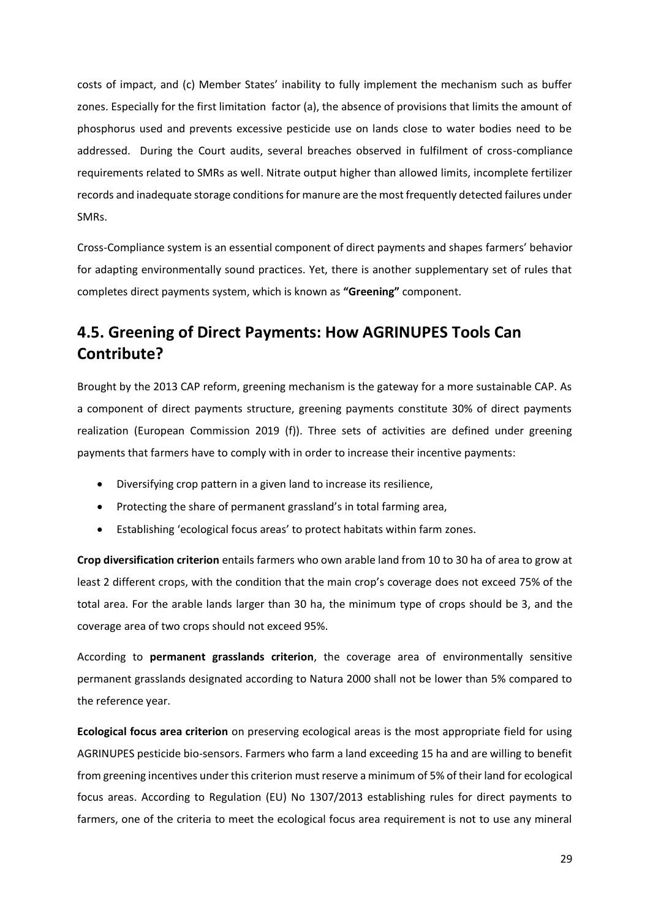costs of impact, and (c) Member States' inability to fully implement the mechanism such as buffer zones. Especially for the first limitation factor (a), the absence of provisions that limits the amount of phosphorus used and prevents excessive pesticide use on lands close to water bodies need to be addressed. During the Court audits, several breaches observed in fulfilment of cross-compliance requirements related to SMRs as well. Nitrate output higher than allowed limits, incomplete fertilizer records and inadequate storage conditions for manure are the most frequently detected failures under SMRs.

Cross-Compliance system is an essential component of direct payments and shapes farmers' behavior for adapting environmentally sound practices. Yet, there is another supplementary set of rules that completes direct payments system, which is known as **"Greening"** component.

# <span id="page-28-0"></span>**4.5. Greening of Direct Payments: How AGRINUPES Tools Can Contribute?**

Brought by the 2013 CAP reform, greening mechanism is the gateway for a more sustainable CAP. As a component of direct payments structure, greening payments constitute 30% of direct payments realization (European Commission 2019 (f)). Three sets of activities are defined under greening payments that farmers have to comply with in order to increase their incentive payments:

- Diversifying crop pattern in a given land to increase its resilience,
- Protecting the share of permanent grassland's in total farming area,
- Establishing 'ecological focus areas' to protect habitats within farm zones.

**Crop diversification criterion** entails farmers who own arable land from 10 to 30 ha of area to grow at least 2 different crops, with the condition that the main crop's coverage does not exceed 75% of the total area. For the arable lands larger than 30 ha, the minimum type of crops should be 3, and the coverage area of two crops should not exceed 95%.

According to **permanent grasslands criterion**, the coverage area of environmentally sensitive permanent grasslands designated according to Natura 2000 shall not be lower than 5% compared to the reference year.

**Ecological focus area criterion** on preserving ecological areas is the most appropriate field for using AGRINUPES pesticide bio-sensors. Farmers who farm a land exceeding 15 ha and are willing to benefit from greening incentives under this criterion must reserve a minimum of 5% of their land for ecological focus areas. According to Regulation (EU) No 1307/2013 establishing rules for direct payments to farmers, one of the criteria to meet the ecological focus area requirement is not to use any mineral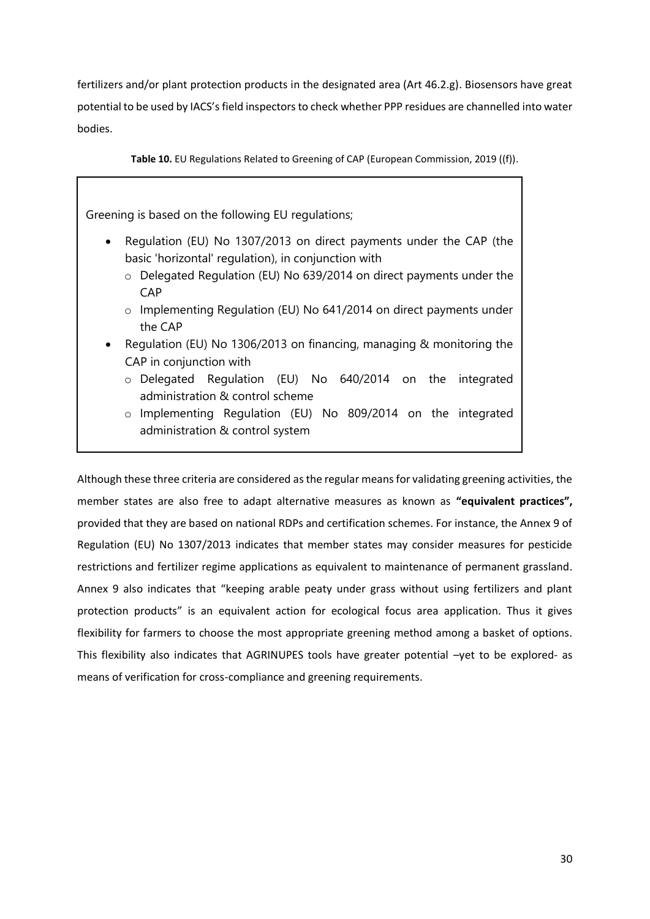fertilizers and/or plant protection products in the designated area (Art 46.2.g). Biosensors have great potential to be used by IACS's field inspectors to check whether PPP residues are channelled into water bodies.

<span id="page-29-0"></span>**Table 10.** EU Regulations Related to Greening of CAP (European Commission, 2019 ((f)).

Greening is based on the following EU regulations;

- Regulation (EU) No 1307/2013 on direct payments under the CAP (the basic 'horizontal' regulation), in conjunction with
	- o Delegated Regulation (EU) No 639/2014 on direct payments under the **CAP**
	- o Implementing Regulation (EU) No 641/2014 on direct payments under the CAP
- Regulation (EU) No 1306/2013 on financing, managing & monitoring the CAP in conjunction with
	- o Delegated Regulation (EU) No 640/2014 on the integrated administration & control scheme
	- o Implementing Regulation (EU) No 809/2014 on the integrated administration & control system

Although these three criteria are considered as the regular means for validating greening activities, the member states are also free to adapt alternative measures as known as **"equivalent practices",** provided that they are based on national RDPs and certification schemes. For instance, the Annex 9 of Regulation (EU) No 1307/2013 indicates that member states may consider measures for pesticide restrictions and fertilizer regime applications as equivalent to maintenance of permanent grassland. Annex 9 also indicates that "keeping arable peaty under grass without using fertilizers and plant protection products" is an equivalent action for ecological focus area application. Thus it gives flexibility for farmers to choose the most appropriate greening method among a basket of options. This flexibility also indicates that AGRINUPES tools have greater potential –yet to be explored- as means of verification for cross-compliance and greening requirements.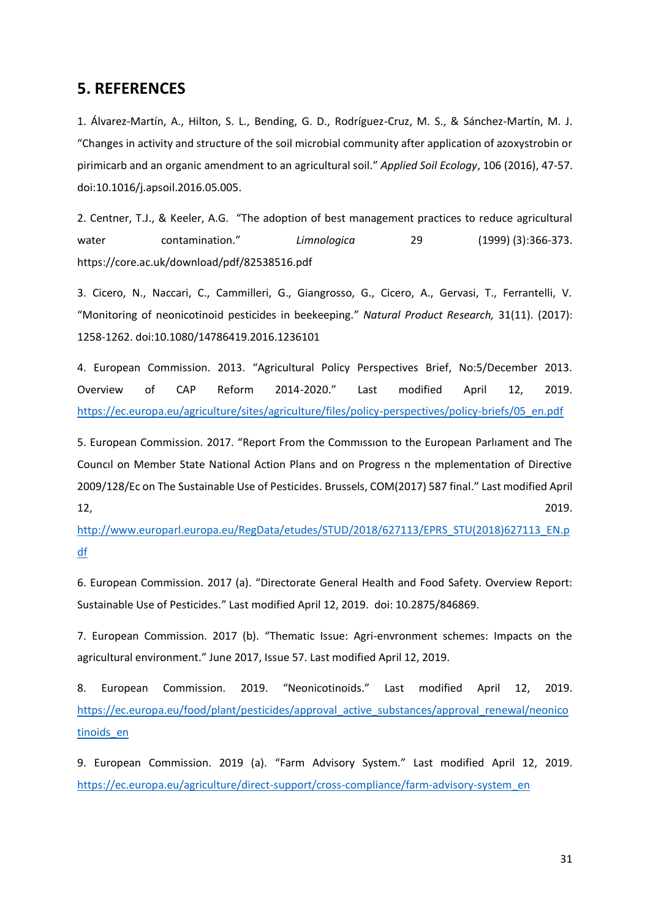### <span id="page-30-0"></span>**5. REFERENCES**

1. Álvarez-Martín, A., Hilton, S. L., Bending, G. D., Rodríguez-Cruz, M. S., & Sánchez-Martín, M. J. "Changes in activity and structure of the soil microbial community after application of azoxystrobin or pirimicarb and an organic amendment to an agricultural soil." *Applied Soil Ecology*, 106 (2016), 47-57. doi:10.1016/j.apsoil.2016.05.005.

2. Centner, T.J., & Keeler, A.G. "The adoption of best management practices to reduce agricultural water contamination." *Limnologica* 29 (1999) (3):366-373. https://core.ac.uk/download/pdf/82538516.pdf

3. Cicero, N., Naccari, C., Cammilleri, G., Giangrosso, G., Cicero, A., Gervasi, T., Ferrantelli, V. "Monitoring of neonicotinoid pesticides in beekeeping." *Natural Product Research,* 31(11). (2017): 1258-1262. doi:10.1080/14786419.2016.1236101

4. European Commission. 2013. "Agricultural Policy Perspectives Brief, No:5/December 2013. Overview of CAP Reform 2014-2020." Last modified April 12, 2019. [https://ec.europa.eu/agriculture/sites/agriculture/files/policy-perspectives/policy-briefs/05\\_en.pdf](https://ec.europa.eu/agriculture/sites/agriculture/files/policy-perspectives/policy-briefs/05_en.pdf)

5. European Commission. 2017. "Report From the Commıssıon to the European Parlıament and The Councıl on Member State National Action Plans and on Progress n the mplementation of Directive 2009/128/Ec on The Sustainable Use of Pesticides. Brussels, COM(2017) 587 final." Last modified April 12, 2019.

[http://www.europarl.europa.eu/RegData/etudes/STUD/2018/627113/EPRS\\_STU\(2018\)627113\\_EN.p](http://www.europarl.europa.eu/RegData/etudes/STUD/2018/627113/EPRS_STU(2018)627113_EN.pdf) [df](http://www.europarl.europa.eu/RegData/etudes/STUD/2018/627113/EPRS_STU(2018)627113_EN.pdf)

6. European Commission. 2017 (a). "Directorate General Health and Food Safety. Overview Report: Sustainable Use of Pesticides." Last modified April 12, 2019. doi: 10.2875/846869.

7. European Commission. 2017 (b). "Thematic Issue: Agri-envronment schemes: Impacts on the agricultural environment." June 2017, Issue 57. Last modified April 12, 2019.

8. European Commission. 2019. "Neonicotinoids." Last modified April 12, 2019. [https://ec.europa.eu/food/plant/pesticides/approval\\_active\\_substances/approval\\_renewal/neonico](https://ec.europa.eu/food/plant/pesticides/approval_active_substances/approval_renewal/neonicotinoids_en) tinoids en

9. European Commission. 2019 (a). "Farm Advisory System." Last modified April 12, 2019. [https://ec.europa.eu/agriculture/direct-support/cross-compliance/farm-advisory-system\\_en](https://ec.europa.eu/agriculture/direct-support/cross-compliance/farm-advisory-system_en)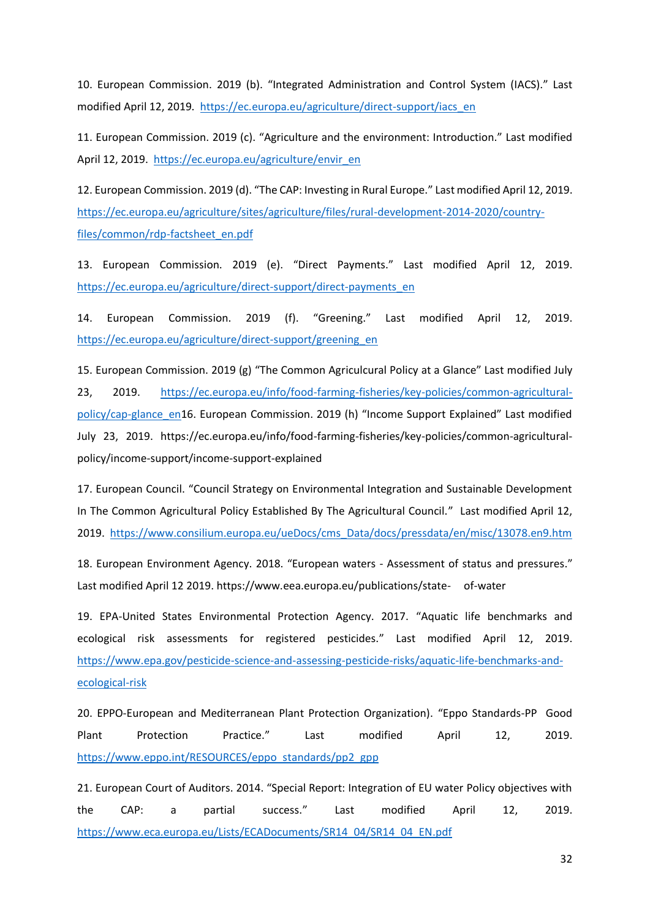10. European Commission. 2019 (b). "Integrated Administration and Control System (IACS)." Last modified April 12, 2019. [https://ec.europa.eu/agriculture/direct-support/iacs\\_en](https://ec.europa.eu/agriculture/direct-support/iacs_en)

11. European Commission. 2019 (c). "Agriculture and the environment: Introduction." Last modified April 12, 2019. [https://ec.europa.eu/agriculture/envir\\_en](https://ec.europa.eu/agriculture/envir_en)

12. European Commission. 2019 (d). "The CAP: Investing in Rural Europe." Last modified April 12, 2019. [https://ec.europa.eu/agriculture/sites/agriculture/files/rural-development-2014-2020/country](https://ec.europa.eu/agriculture/sites/agriculture/files/rural-development-2014-2020/country-files/common/rdp-factsheet_en.pdf)[files/common/rdp-factsheet\\_en.pdf](https://ec.europa.eu/agriculture/sites/agriculture/files/rural-development-2014-2020/country-files/common/rdp-factsheet_en.pdf)

13. European Commission. 2019 (e). "Direct Payments." Last modified April 12, 2019. [https://ec.europa.eu/agriculture/direct-support/direct-payments\\_en](https://ec.europa.eu/agriculture/direct-support/direct-payments_en)

14. European Commission. 2019 (f). "Greening." Last modified April 12, 2019. [https://ec.europa.eu/agriculture/direct-support/greening\\_en](https://ec.europa.eu/agriculture/direct-support/greening_en)

15. European Commission. 2019 (g) "The Common Agriculcural Policy at a Glance" Last modified July 23, 2019. [https://ec.europa.eu/info/food-farming-fisheries/key-policies/common-agricultural](https://ec.europa.eu/info/food-farming-fisheries/key-policies/common-agricultural-policy/cap-glance_en)[policy/cap-glance\\_en](https://ec.europa.eu/info/food-farming-fisheries/key-policies/common-agricultural-policy/cap-glance_en)16. European Commission. 2019 (h) "Income Support Explained" Last modified July 23, 2019. https://ec.europa.eu/info/food-farming-fisheries/key-policies/common-agriculturalpolicy/income-support/income-support-explained

17. European Council. "Council Strategy on Environmental Integration and Sustainable Development In The Common Agricultural Policy Established By The Agricultural Council." Last modified April 12, 2019. [https://www.consilium.europa.eu/ueDocs/cms\\_Data/docs/pressdata/en/misc/13078.en9.htm](https://www.consilium.europa.eu/ueDocs/cms_Data/docs/pressdata/en/misc/13078.en9.htm)

18. European Environment Agency. 2018. "European waters - Assessment of status and pressures." Last modified April 12 2019. [https://www.eea.europa.eu/publications/state-](https://www.eea.europa.eu/publications/state-%09of-water) of-water

19. EPA-United States Environmental Protection Agency. 2017. "Aquatic life benchmarks and ecological risk assessments for registered pesticides." Last modified April 12, 2019. [https://www.epa.gov/pesticide-science-and-assessing-pesticide-risks/aquatic-life-benchmarks-and](https://www.epa.gov/pesticide-science-and-assessing-pesticide-risks/aquatic-life-benchmarks-and-ecological-risk)[ecological-risk](https://www.epa.gov/pesticide-science-and-assessing-pesticide-risks/aquatic-life-benchmarks-and-ecological-risk)

20. EPPO-European and Mediterranean Plant Protection Organization). "Eppo Standards-PP Good Plant Protection Practice." Last modified April 12, 2019. [https://www.eppo.int/RESOURCES/eppo\\_standards/pp2\\_gpp](https://www.eppo.int/RESOURCES/eppo_standards/pp2_gpp)

21. European Court of Auditors. 2014. "Special Report: Integration of EU water Policy objectives with the CAP: a partial success." Last modified April 12, 2019. [https://www.eca.europa.eu/Lists/ECADocuments/SR14\\_04/SR14\\_04\\_EN.pdf](https://www.eca.europa.eu/Lists/ECADocuments/SR14_04/SR14_04_EN.pdf)

32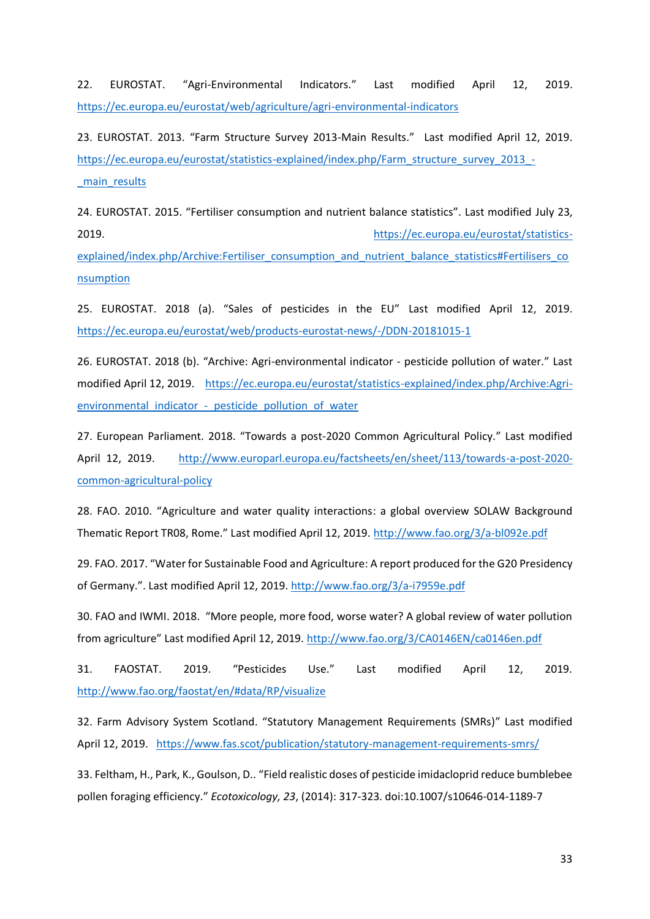22. EUROSTAT. "Agri-Environmental Indicators." Last modified April 12, 2019. <https://ec.europa.eu/eurostat/web/agriculture/agri-environmental-indicators>

23. EUROSTAT. 2013. "Farm Structure Survey 2013-Main Results." Last modified April 12, 2019. [https://ec.europa.eu/eurostat/statistics-explained/index.php/Farm\\_structure\\_survey\\_2013\\_-](https://ec.europa.eu/eurostat/statistics-explained/index.php/Farm_structure_survey_2013_-_main_results) [\\_main\\_results](https://ec.europa.eu/eurostat/statistics-explained/index.php/Farm_structure_survey_2013_-_main_results)

24. EUROSTAT. 2015. "Fertiliser consumption and nutrient balance statistics". Last modified July 23, 2019. [https://ec.europa.eu/eurostat/statistics-](https://ec.europa.eu/eurostat/statistics-explained/index.php/Archive:Fertiliser_consumption_and_nutrient_balance_statistics#Fertilisers_consumption)

[explained/index.php/Archive:Fertiliser\\_consumption\\_and\\_nutrient\\_balance\\_statistics#Fertilisers\\_co](https://ec.europa.eu/eurostat/statistics-explained/index.php/Archive:Fertiliser_consumption_and_nutrient_balance_statistics#Fertilisers_consumption) [nsumption](https://ec.europa.eu/eurostat/statistics-explained/index.php/Archive:Fertiliser_consumption_and_nutrient_balance_statistics#Fertilisers_consumption)

25. EUROSTAT. 2018 (a). "Sales of pesticides in the EU" Last modified April 12, 2019. <https://ec.europa.eu/eurostat/web/products-eurostat-news/-/DDN-20181015-1>

26. EUROSTAT. 2018 (b). "Archive: Agri-environmental indicator - pesticide pollution of water." Last modified April 12, 2019. [https://ec.europa.eu/eurostat/statistics-explained/index.php/Archive:Agri](https://ec.europa.eu/eurostat/statistics-explained/index.php/Archive:Agri-environmental_indicator_-_pesticide_pollution_of_water)environmental\_indicator - pesticide\_pollution\_of\_water

27. European Parliament. 2018. "Towards a post-2020 Common Agricultural Policy." Last modified April 12, 2019. [http://www.europarl.europa.eu/factsheets/en/sheet/113/towards-a-post-2020](http://www.europarl.europa.eu/factsheets/en/sheet/113/towards-a-post-2020-common-agricultural-policy) [common-agricultural-policy](http://www.europarl.europa.eu/factsheets/en/sheet/113/towards-a-post-2020-common-agricultural-policy)

28. FAO. 2010. "Agriculture and water quality interactions: a global overview SOLAW Background Thematic Report TR08, Rome." Last modified April 12, 2019.<http://www.fao.org/3/a-bl092e.pdf>

29. FAO. 2017. "Water for Sustainable Food and Agriculture: A report produced for the G20 Presidency of Germany.". Last modified April 12, 2019[. http://www.fao.org/3/a-i7959e.pdf](http://www.fao.org/3/a-i7959e.pdf)

30. FAO and IWMI. 2018. "More people, more food, worse water? A global review of water pollution from agriculture" Last modified April 12, 2019.<http://www.fao.org/3/CA0146EN/ca0146en.pdf>

31. FAOSTAT. 2019. "Pesticides Use." Last modified April 12, 2019. <http://www.fao.org/faostat/en/#data/RP/visualize>

32. Farm Advisory System Scotland. "Statutory Management Requirements (SMRs)" Last modified April 12, 2019. <https://www.fas.scot/publication/statutory-management-requirements-smrs/>

33. Feltham, H., Park, K., Goulson, D.. "Field realistic doses of pesticide imidacloprid reduce bumblebee pollen foraging efficiency." *Ecotoxicology, 23*, (2014): 317-323. doi:10.1007/s10646-014-1189-7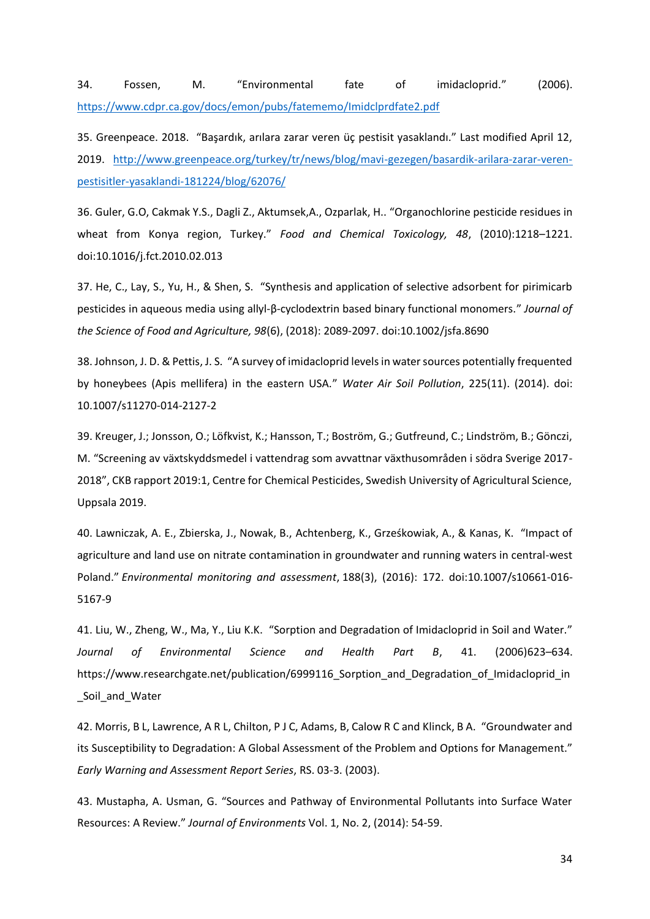34. Fossen, M. "Environmental fate of imidacloprid." (2006). <https://www.cdpr.ca.gov/docs/emon/pubs/fatememo/Imidclprdfate2.pdf>

35. Greenpeace. 2018. "Başardık, arılara zarar veren üç pestisit yasaklandı." Last modified April 12, 2019. [http://www.greenpeace.org/turkey/tr/news/blog/mavi-gezegen/basardik-arilara-zarar-veren](http://www.greenpeace.org/turkey/tr/news/blog/mavi-gezegen/basardik-arilara-zarar-veren-pestisitler-yasaklandi-181224/blog/62076/)[pestisitler-yasaklandi-181224/blog/62076/](http://www.greenpeace.org/turkey/tr/news/blog/mavi-gezegen/basardik-arilara-zarar-veren-pestisitler-yasaklandi-181224/blog/62076/)

36. Guler, G.O, Cakmak Y.S., Dagli Z., Aktumsek,A., Ozparlak, H.. "Organochlorine pesticide residues in wheat from Konya region, Turkey." *Food and Chemical Toxicology, 48*, (2010):1218–1221. doi:10.1016/j.fct.2010.02.013

37. He, C., Lay, S., Yu, H., & Shen, S. "Synthesis and application of selective adsorbent for pirimicarb pesticides in aqueous media using allyl‐β‐cyclodextrin based binary functional monomers." *Journal of the Science of Food and Agriculture, 98*(6), (2018): 2089-2097. doi:10.1002/jsfa.8690

38. Johnson, J. D. & Pettis, J. S. "A survey of imidacloprid levels in water sources potentially frequented by honeybees (Apis mellifera) in the eastern USA." *Water Air Soil Pollution*, 225(11). (2014). doi: 10.1007/s11270-014-2127-2

39. Kreuger, J.; Jonsson, O.; Löfkvist, K.; Hansson, T.; Boström, G.; Gutfreund, C.; Lindström, B.; Gönczi, M. "Screening av växtskyddsmedel i vattendrag som avvattnar växthusområden i södra Sverige 2017- 2018", CKB rapport 2019:1, Centre for Chemical Pesticides, Swedish University of Agricultural Science, Uppsala 2019.

40. Lawniczak, A. E., Zbierska, J., Nowak, B., Achtenberg, K., Grześkowiak, A., & Kanas, K. "Impact of agriculture and land use on nitrate contamination in groundwater and running waters in central-west Poland." *Environmental monitoring and assessment*, 188(3), (2016): 172. doi:10.1007/s10661-016- 5167-9

41. Liu, W., Zheng, W., Ma, Y., Liu K.K. "Sorption and Degradation of Imidacloprid in Soil and Water." *Journal of Environmental Science and Health Part B*, 41. (2006)623–634. https://www.researchgate.net/publication/6999116\_Sorption\_and\_Degradation\_of\_Imidacloprid\_in \_Soil\_and\_Water

42. Morris, B L, Lawrence, A R L, Chilton, P J C, Adams, B, Calow R C and Klinck, B A. "Groundwater and its Susceptibility to Degradation: A Global Assessment of the Problem and Options for Management." *Early Warning and Assessment Report Series*, RS. 03-3. (2003).

43. Mustapha, A. Usman, G. "Sources and Pathway of Environmental Pollutants into Surface Water Resources: A Review." *Journal of Environments* Vol. 1, No. 2, (2014): 54-59.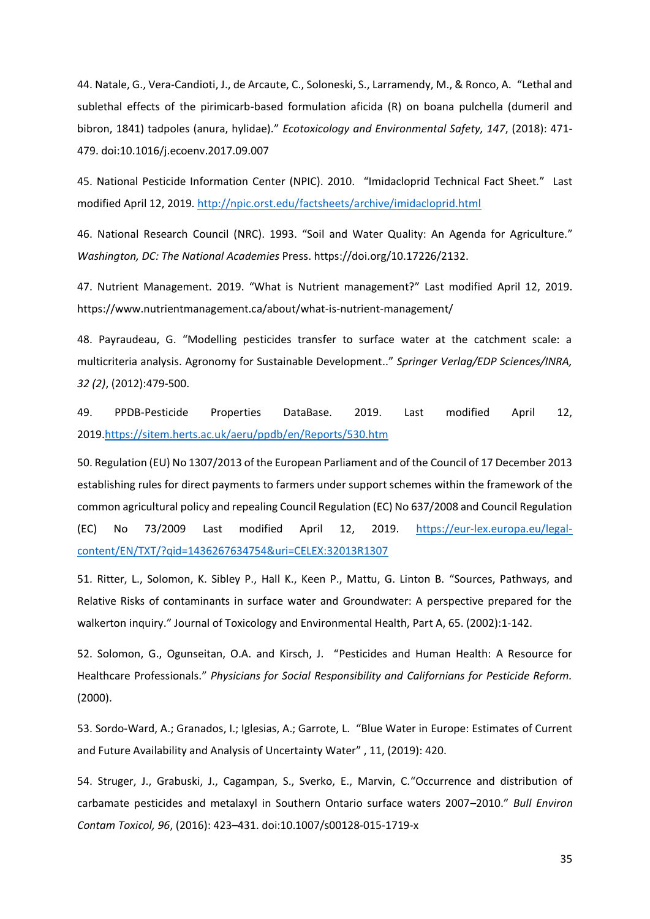44. Natale, G., Vera-Candioti, J., de Arcaute, C., Soloneski, S., Larramendy, M., & Ronco, A. "Lethal and sublethal effects of the pirimicarb-based formulation aficida (R) on boana pulchella (dumeril and bibron, 1841) tadpoles (anura, hylidae)." *Ecotoxicology and Environmental Safety, 147*, (2018): 471- 479. doi:10.1016/j.ecoenv.2017.09.007

45. National Pesticide Information Center (NPIC). 2010. "Imidacloprid Technical Fact Sheet." Last modified April 12, 2019.<http://npic.orst.edu/factsheets/archive/imidacloprid.html>

46. National Research Council (NRC). 1993. "Soil and Water Quality: An Agenda for Agriculture." *Washington, DC: The National Academies* Press. https://doi.org/10.17226/2132.

47. Nutrient Management. 2019. "What is Nutrient management?" Last modified April 12, 2019. <https://www.nutrientmanagement.ca/about/what-is-nutrient-management/>

48. Payraudeau, G. "Modelling pesticides transfer to surface water at the catchment scale: a multicriteria analysis. Agronomy for Sustainable Development.." *Springer Verlag/EDP Sciences/INRA, 32 (2)*, (2012):479-500.

49. PPDB-Pesticide Properties DataBase. 2019. Last modified April 12, 2019[.https://sitem.herts.ac.uk/aeru/ppdb/en/Reports/530.htm](https://sitem.herts.ac.uk/aeru/ppdb/en/Reports/530.htm)

50. Regulation (EU) No 1307/2013 of the European Parliament and of the Council of 17 December 2013 establishing rules for direct payments to farmers under support schemes within the framework of the common agricultural policy and repealing Council Regulation (EC) No 637/2008 and Council Regulation (EC) No 73/2009 Last modified April 12, 2019. [https://eur-lex.europa.eu/legal](https://eur-lex.europa.eu/legal-content/EN/TXT/?qid=1436267634754&uri=CELEX:32013R1307)[content/EN/TXT/?qid=1436267634754&uri=CELEX:32013R1307](https://eur-lex.europa.eu/legal-content/EN/TXT/?qid=1436267634754&uri=CELEX:32013R1307)

51. Ritter, L., Solomon, K. Sibley P., Hall K., Keen P., Mattu, G. Linton B. "Sources, Pathways, and Relative Risks of contaminants in surface water and Groundwater: A perspective prepared for the walkerton inquiry." Journal of Toxicology and Environmental Health, Part A, 65. (2002):1-142.

52. Solomon, G., Ogunseitan, O.A. and Kirsch, J. "Pesticides and Human Health: A Resource for Healthcare Professionals." *Physicians for Social Responsibility and Californians for Pesticide Reform.* (2000).

53. Sordo-Ward, A.; Granados, I.; Iglesias, A.; Garrote, L. "Blue Water in Europe: Estimates of Current and Future Availability and Analysis of Uncertainty Water" , 11, (2019): 420.

54. Struger, J., Grabuski, J., Cagampan, S., Sverko, E., Marvin, C."Occurrence and distribution of carbamate pesticides and metalaxyl in Southern Ontario surface waters 2007–2010." *Bull Environ Contam Toxicol, 96*, (2016): 423–431. doi:10.1007/s00128-015-1719-x